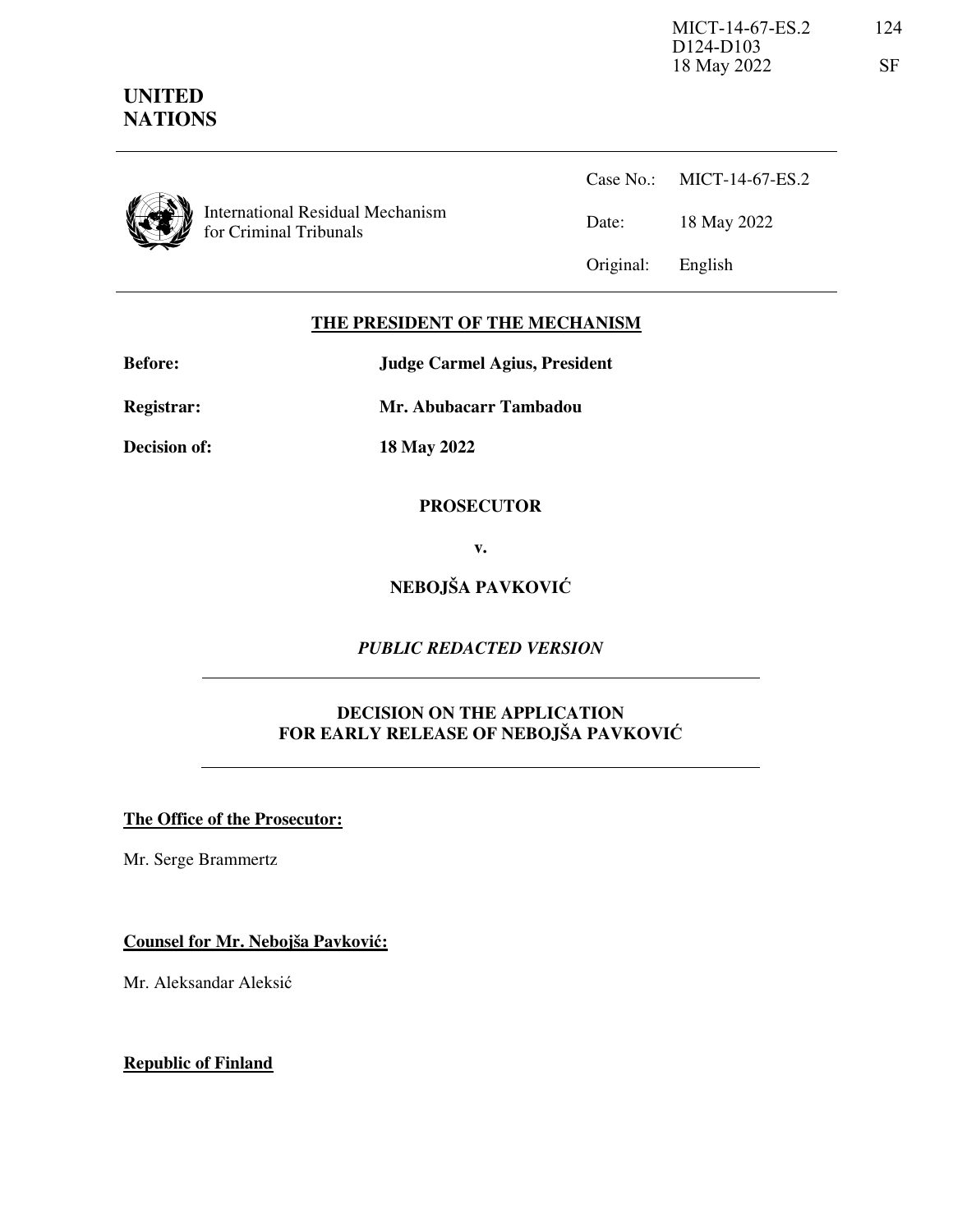

**UNITED NATIONS**

> International Residual Mechanism for Criminal Tribunals

Case No.: MICT-14-67-ES.2 Date: 18 May 2022 Original: English

# **THE PRESIDENT OF THE MECHANISM**

**Before: Judge Carmel Agius, President** 

**Registrar: Mr. Abubacarr Tambadou** 

**Decision of: 18 May 2022** 

# **PROSECUTOR**

**v.** 

**NEBOJŠA PAVKOVIĆ**

*PUBLIC REDACTED VERSION* 

# **DECISION ON THE APPLICATION FOR EARLY RELEASE OF NEBOJŠA PAVKOVIĆ**

# **The Office of the Prosecutor:**

Mr. Serge Brammertz

**Counsel for Mr. Nebojša Pavković:**

Mr. Aleksandar Aleksić

**Republic of Finland**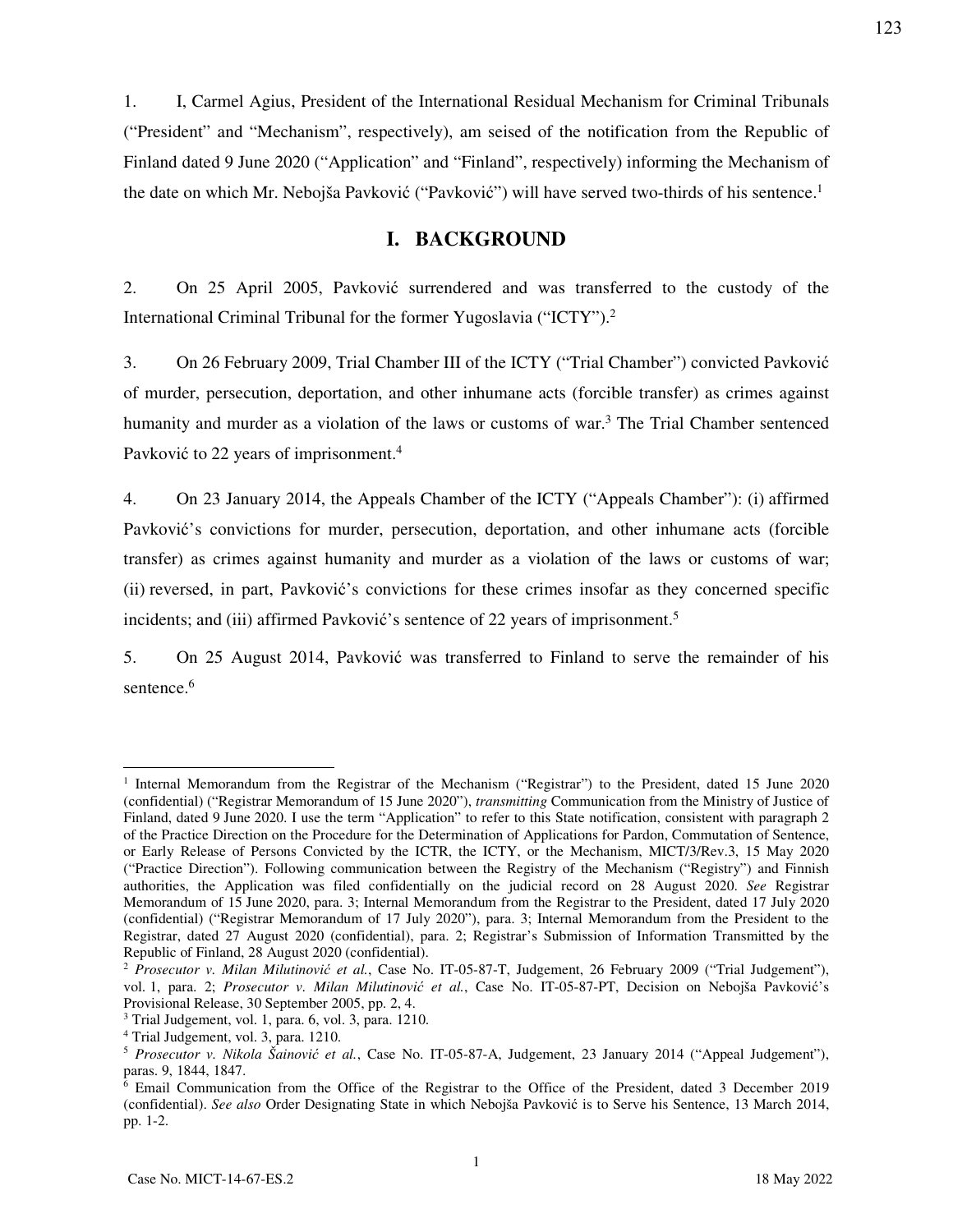1. I, Carmel Agius, President of the International Residual Mechanism for Criminal Tribunals ("President" and "Mechanism", respectively), am seised of the notification from the Republic of Finland dated 9 June 2020 ("Application" and "Finland", respectively) informing the Mechanism of the date on which Mr. Nebojša Pavković ("Pavković") will have served two-thirds of his sentence.<sup>1</sup>

# **I. BACKGROUND**

2. On 25 April 2005, Pavković surrendered and was transferred to the custody of the International Criminal Tribunal for the former Yugoslavia ("ICTY").<sup>2</sup>

3. On 26 February 2009, Trial Chamber III of the ICTY ("Trial Chamber") convicted Pavković of murder, persecution, deportation, and other inhumane acts (forcible transfer) as crimes against humanity and murder as a violation of the laws or customs of war.<sup>3</sup> The Trial Chamber sentenced Pavković to 22 years of imprisonment.<sup>4</sup>

4. On 23 January 2014, the Appeals Chamber of the ICTY ("Appeals Chamber"): (i) affirmed Pavković's convictions for murder, persecution, deportation, and other inhumane acts (forcible transfer) as crimes against humanity and murder as a violation of the laws or customs of war; (ii) reversed, in part, Pavković's convictions for these crimes insofar as they concerned specific incidents; and (iii) affirmed Pavković's sentence of 22 years of imprisonment.<sup>5</sup>

5. On 25 August 2014, Pavković was transferred to Finland to serve the remainder of his sentence.<sup>6</sup>

-

<sup>&</sup>lt;sup>1</sup> Internal Memorandum from the Registrar of the Mechanism ("Registrar") to the President, dated 15 June 2020 (confidential) ("Registrar Memorandum of 15 June 2020"), *transmitting* Communication from the Ministry of Justice of Finland, dated 9 June 2020. I use the term "Application" to refer to this State notification, consistent with paragraph 2 of the Practice Direction on the Procedure for the Determination of Applications for Pardon, Commutation of Sentence, or Early Release of Persons Convicted by the ICTR, the ICTY, or the Mechanism, MICT/3/Rev.3, 15 May 2020 ("Practice Direction"). Following communication between the Registry of the Mechanism ("Registry") and Finnish authorities, the Application was filed confidentially on the judicial record on 28 August 2020. *See* Registrar Memorandum of 15 June 2020, para. 3; Internal Memorandum from the Registrar to the President, dated 17 July 2020 (confidential) ("Registrar Memorandum of 17 July 2020"), para. 3; Internal Memorandum from the President to the Registrar, dated 27 August 2020 (confidential), para. 2; Registrar's Submission of Information Transmitted by the Republic of Finland, 28 August 2020 (confidential).

<sup>2</sup> *Prosecutor v. Milan Milutinović et al.*, Case No. IT-05-87-T, Judgement, 26 February 2009 ("Trial Judgement"), vol. 1, para. 2; *Prosecutor v. Milan Milutinović et al.*, Case No. IT-05-87-PT, Decision on Nebojša Pavković's Provisional Release, 30 September 2005, pp. 2, 4.

<sup>3</sup> Trial Judgement, vol. 1, para. 6, vol. 3, para. 1210.

<sup>4</sup> Trial Judgement, vol. 3, para. 1210.

<sup>5</sup> *Prosecutor v. Nikola Šainović et al.*, Case No. IT-05-87-A, Judgement, 23 January 2014 ("Appeal Judgement"), paras. 9, 1844, 1847.

<sup>&</sup>lt;sup>6</sup> Email Communication from the Office of the Registrar to the Office of the President, dated 3 December 2019 (confidential). *See also* Order Designating State in which Nebojša Pavković is to Serve his Sentence, 13 March 2014, pp. 1-2.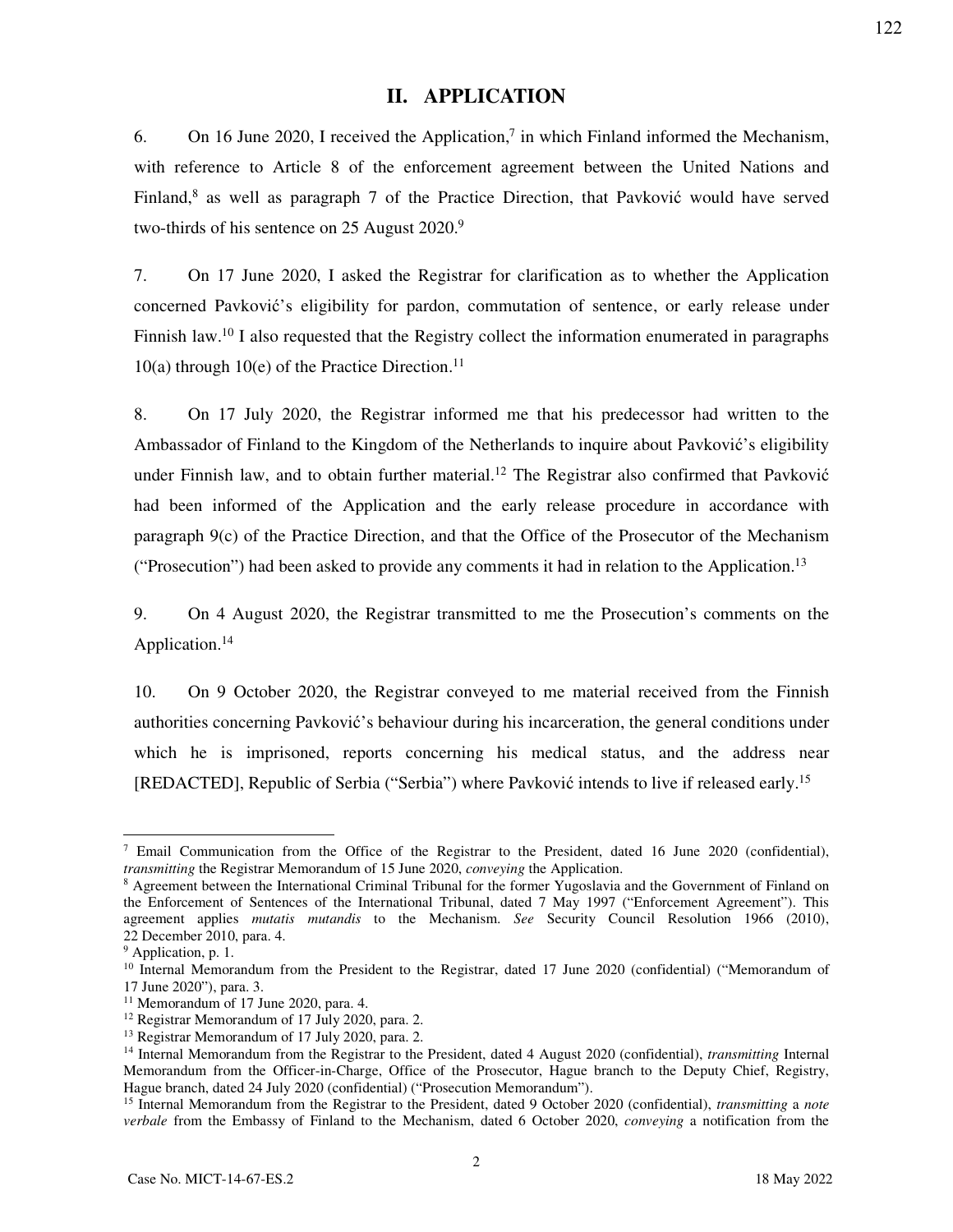# **II. APPLICATION**

6. On 16 June 2020, I received the Application,<sup>7</sup> in which Finland informed the Mechanism, with reference to Article 8 of the enforcement agreement between the United Nations and Finland,<sup>8</sup> as well as paragraph 7 of the Practice Direction, that Pavković would have served two-thirds of his sentence on 25 August 2020.<sup>9</sup>

7. On 17 June 2020, I asked the Registrar for clarification as to whether the Application concerned Pavković's eligibility for pardon, commutation of sentence, or early release under Finnish law.<sup>10</sup> I also requested that the Registry collect the information enumerated in paragraphs 10(a) through 10(e) of the Practice Direction.<sup>11</sup>

8. On 17 July 2020, the Registrar informed me that his predecessor had written to the Ambassador of Finland to the Kingdom of the Netherlands to inquire about Pavković's eligibility under Finnish law, and to obtain further material.<sup>12</sup> The Registrar also confirmed that Pavković had been informed of the Application and the early release procedure in accordance with paragraph 9(c) of the Practice Direction, and that the Office of the Prosecutor of the Mechanism ("Prosecution") had been asked to provide any comments it had in relation to the Application.<sup>13</sup>

9. On 4 August 2020, the Registrar transmitted to me the Prosecution's comments on the Application.<sup>14</sup>

10. On 9 October 2020, the Registrar conveyed to me material received from the Finnish authorities concerning Pavković's behaviour during his incarceration, the general conditions under which he is imprisoned, reports concerning his medical status, and the address near [REDACTED], Republic of Serbia ("Serbia") where Pavković intends to live if released early.<sup>15</sup>

-

<sup>7</sup> Email Communication from the Office of the Registrar to the President, dated 16 June 2020 (confidential), *transmitting* the Registrar Memorandum of 15 June 2020, *conveying* the Application.

<sup>&</sup>lt;sup>8</sup> Agreement between the International Criminal Tribunal for the former Yugoslavia and the Government of Finland on the Enforcement of Sentences of the International Tribunal, dated 7 May 1997 ("Enforcement Agreement"). This agreement applies *mutatis mutandis* to the Mechanism. *See* Security Council Resolution 1966 (2010), 22 December 2010, para. 4.

<sup>&</sup>lt;sup>9</sup> Application, p. 1.

<sup>&</sup>lt;sup>10</sup> Internal Memorandum from the President to the Registrar, dated 17 June 2020 (confidential) ("Memorandum of 17 June 2020"), para. 3.

<sup>&</sup>lt;sup>11</sup> Memorandum of 17 June 2020, para. 4.

<sup>&</sup>lt;sup>12</sup> Registrar Memorandum of 17 July 2020, para. 2.

<sup>&</sup>lt;sup>13</sup> Registrar Memorandum of 17 July 2020, para. 2.

<sup>14</sup> Internal Memorandum from the Registrar to the President, dated 4 August 2020 (confidential), *transmitting* Internal Memorandum from the Officer-in-Charge, Office of the Prosecutor, Hague branch to the Deputy Chief, Registry, Hague branch, dated 24 July 2020 (confidential) ("Prosecution Memorandum").

<sup>15</sup> Internal Memorandum from the Registrar to the President, dated 9 October 2020 (confidential), *transmitting* a *note verbale* from the Embassy of Finland to the Mechanism, dated 6 October 2020, *conveying* a notification from the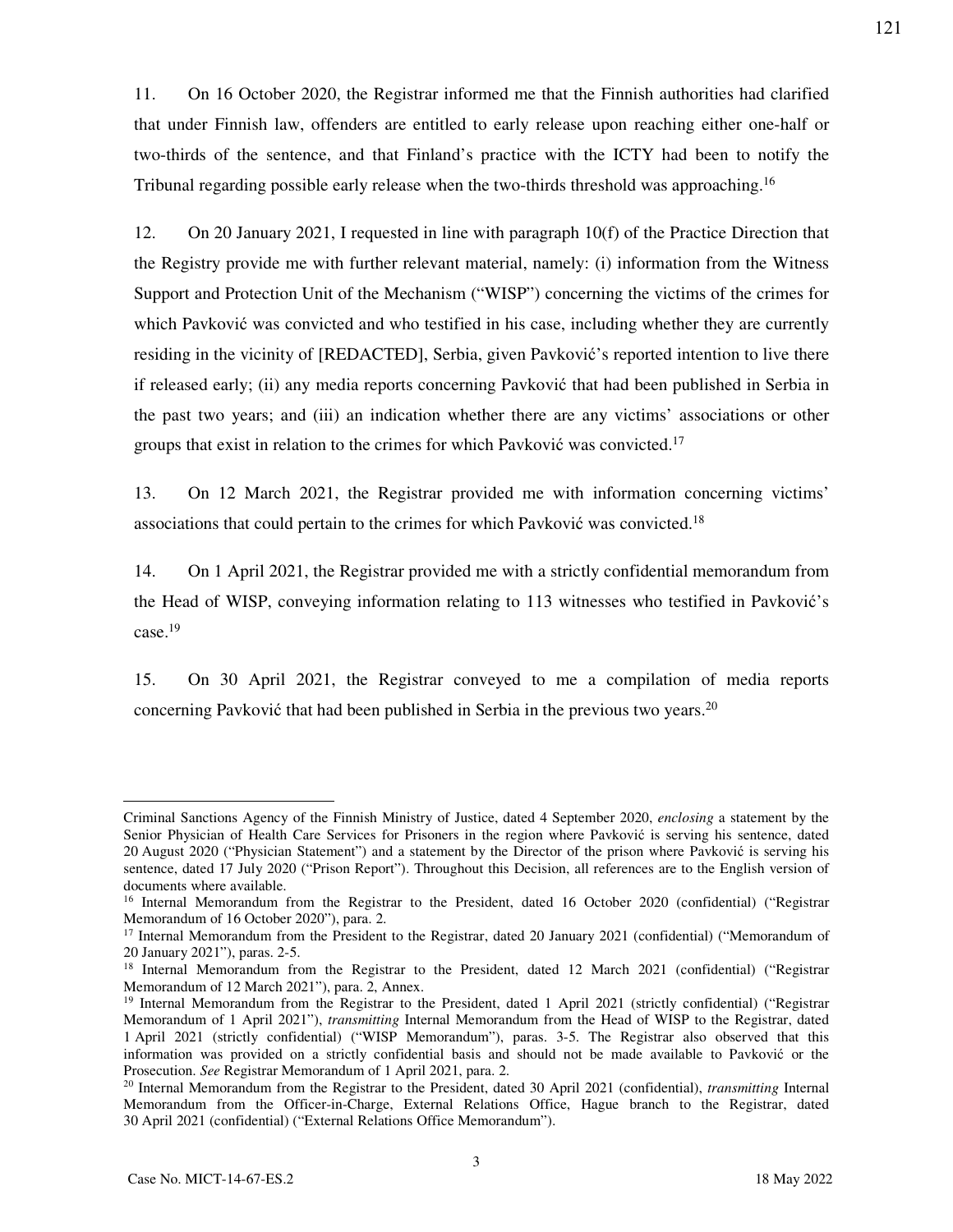11. On 16 October 2020, the Registrar informed me that the Finnish authorities had clarified that under Finnish law, offenders are entitled to early release upon reaching either one-half or two-thirds of the sentence, and that Finland's practice with the ICTY had been to notify the Tribunal regarding possible early release when the two-thirds threshold was approaching.<sup>16</sup>

12. On 20 January 2021, I requested in line with paragraph 10(f) of the Practice Direction that the Registry provide me with further relevant material, namely: (i) information from the Witness Support and Protection Unit of the Mechanism ("WISP") concerning the victims of the crimes for which Pavković was convicted and who testified in his case, including whether they are currently residing in the vicinity of [REDACTED], Serbia, given Pavković's reported intention to live there if released early; (ii) any media reports concerning Pavković that had been published in Serbia in the past two years; and (iii) an indication whether there are any victims' associations or other groups that exist in relation to the crimes for which Pavković was convicted.<sup>17</sup>

13. On 12 March 2021, the Registrar provided me with information concerning victims' associations that could pertain to the crimes for which Pavković was convicted.<sup>18</sup>

14. On 1 April 2021, the Registrar provided me with a strictly confidential memorandum from the Head of WISP, conveying information relating to 113 witnesses who testified in Pavković's case.<sup>19</sup>

15. On 30 April 2021, the Registrar conveyed to me a compilation of media reports concerning Pavković that had been published in Serbia in the previous two years.<sup>20</sup>

Criminal Sanctions Agency of the Finnish Ministry of Justice, dated 4 September 2020, *enclosing* a statement by the Senior Physician of Health Care Services for Prisoners in the region where Pavković is serving his sentence, dated 20 August 2020 ("Physician Statement") and a statement by the Director of the prison where Pavković is serving his sentence, dated 17 July 2020 ("Prison Report"). Throughout this Decision, all references are to the English version of documents where available.

<sup>&</sup>lt;sup>16</sup> Internal Memorandum from the Registrar to the President, dated 16 October 2020 (confidential) ("Registrar Memorandum of 16 October 2020"), para. 2.

<sup>&</sup>lt;sup>17</sup> Internal Memorandum from the President to the Registrar, dated 20 January 2021 (confidential) ("Memorandum of 20 January 2021"), paras. 2-5.

<sup>&</sup>lt;sup>18</sup> Internal Memorandum from the Registrar to the President, dated 12 March 2021 (confidential) ("Registrar Memorandum of 12 March 2021"), para. 2, Annex.

<sup>&</sup>lt;sup>19</sup> Internal Memorandum from the Registrar to the President, dated 1 April 2021 (strictly confidential) ("Registrar Memorandum of 1 April 2021"), *transmitting* Internal Memorandum from the Head of WISP to the Registrar, dated 1 April 2021 (strictly confidential) ("WISP Memorandum"), paras. 3-5. The Registrar also observed that this information was provided on a strictly confidential basis and should not be made available to Pavković or the Prosecution. *See* Registrar Memorandum of 1 April 2021, para. 2.

<sup>20</sup> Internal Memorandum from the Registrar to the President, dated 30 April 2021 (confidential), *transmitting* Internal Memorandum from the Officer-in-Charge, External Relations Office, Hague branch to the Registrar, dated 30 April 2021 (confidential) ("External Relations Office Memorandum").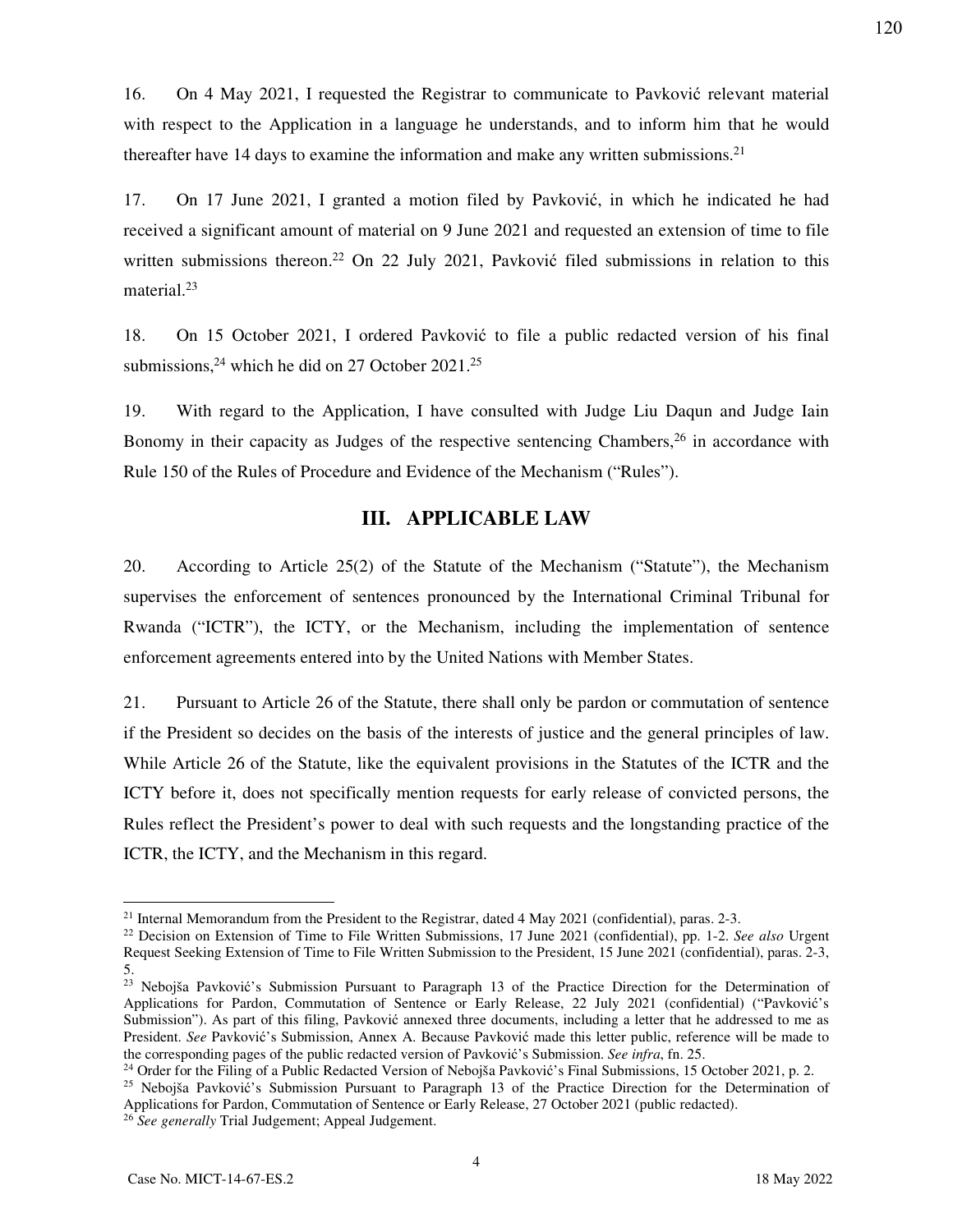16. On 4 May 2021, I requested the Registrar to communicate to Pavković relevant material with respect to the Application in a language he understands, and to inform him that he would thereafter have 14 days to examine the information and make any written submissions.<sup>21</sup>

17. On 17 June 2021, I granted a motion filed by Pavković, in which he indicated he had received a significant amount of material on 9 June 2021 and requested an extension of time to file written submissions thereon.<sup>22</sup> On 22 July 2021, Pavković filed submissions in relation to this material.<sup>23</sup>

18. On 15 October 2021, I ordered Pavković to file a public redacted version of his final submissions,  $24$  which he did on 27 October 2021.<sup>25</sup>

19. With regard to the Application, I have consulted with Judge Liu Daqun and Judge Iain Bonomy in their capacity as Judges of the respective sentencing Chambers,  $26$  in accordance with Rule 150 of the Rules of Procedure and Evidence of the Mechanism ("Rules").

# **III. APPLICABLE LAW**

20. According to Article 25(2) of the Statute of the Mechanism ("Statute"), the Mechanism supervises the enforcement of sentences pronounced by the International Criminal Tribunal for Rwanda ("ICTR"), the ICTY, or the Mechanism, including the implementation of sentence enforcement agreements entered into by the United Nations with Member States.

21. Pursuant to Article 26 of the Statute, there shall only be pardon or commutation of sentence if the President so decides on the basis of the interests of justice and the general principles of law. While Article 26 of the Statute, like the equivalent provisions in the Statutes of the ICTR and the ICTY before it, does not specifically mention requests for early release of convicted persons, the Rules reflect the President's power to deal with such requests and the longstanding practice of the ICTR, the ICTY, and the Mechanism in this regard.

<sup>&</sup>lt;sup>21</sup> Internal Memorandum from the President to the Registrar, dated 4 May 2021 (confidential), paras. 2-3.

<sup>22</sup> Decision on Extension of Time to File Written Submissions, 17 June 2021 (confidential), pp. 1-2. *See also* Urgent Request Seeking Extension of Time to File Written Submission to the President, 15 June 2021 (confidential), paras. 2-3, 5.

<sup>&</sup>lt;sup>23</sup> Nebojša Pavković's Submission Pursuant to Paragraph 13 of the Practice Direction for the Determination of Applications for Pardon, Commutation of Sentence or Early Release, 22 July 2021 (confidential) ("Pavković's Submission"). As part of this filing, Pavković annexed three documents, including a letter that he addressed to me as President. *See* Pavković's Submission, Annex A. Because Pavković made this letter public, reference will be made to the corresponding pages of the public redacted version of Pavković's Submission. *See infra*, fn. 25.

<sup>&</sup>lt;sup>24</sup> Order for the Filing of a Public Redacted Version of Nebojša Pavković's Final Submissions, 15 October 2021, p. 2. <sup>25</sup> Nebojša Pavković's Submission Pursuant to Paragraph 13 of the Practice Direction for the Determination of

Applications for Pardon, Commutation of Sentence or Early Release, 27 October 2021 (public redacted).

<sup>&</sup>lt;sup>26</sup> See generally Trial Judgement; Appeal Judgement.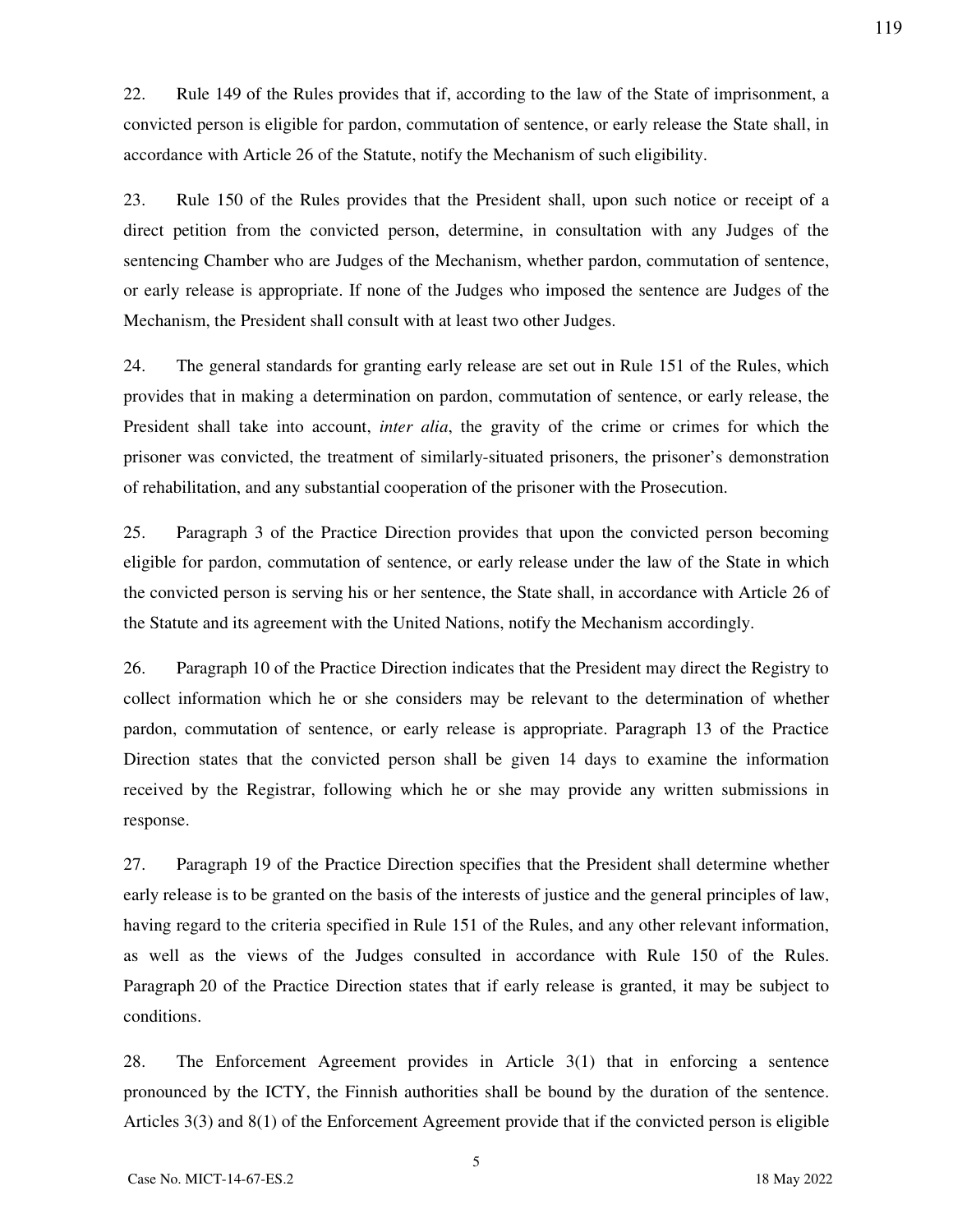22. Rule 149 of the Rules provides that if, according to the law of the State of imprisonment, a convicted person is eligible for pardon, commutation of sentence, or early release the State shall, in accordance with Article 26 of the Statute, notify the Mechanism of such eligibility.

23. Rule 150 of the Rules provides that the President shall, upon such notice or receipt of a direct petition from the convicted person, determine, in consultation with any Judges of the sentencing Chamber who are Judges of the Mechanism, whether pardon, commutation of sentence, or early release is appropriate. If none of the Judges who imposed the sentence are Judges of the Mechanism, the President shall consult with at least two other Judges.

24. The general standards for granting early release are set out in Rule 151 of the Rules, which provides that in making a determination on pardon, commutation of sentence, or early release, the President shall take into account, *inter alia*, the gravity of the crime or crimes for which the prisoner was convicted, the treatment of similarly-situated prisoners, the prisoner's demonstration of rehabilitation, and any substantial cooperation of the prisoner with the Prosecution.

25. Paragraph 3 of the Practice Direction provides that upon the convicted person becoming eligible for pardon, commutation of sentence, or early release under the law of the State in which the convicted person is serving his or her sentence, the State shall, in accordance with Article 26 of the Statute and its agreement with the United Nations, notify the Mechanism accordingly.

26. Paragraph 10 of the Practice Direction indicates that the President may direct the Registry to collect information which he or she considers may be relevant to the determination of whether pardon, commutation of sentence, or early release is appropriate. Paragraph 13 of the Practice Direction states that the convicted person shall be given 14 days to examine the information received by the Registrar, following which he or she may provide any written submissions in response.

27. Paragraph 19 of the Practice Direction specifies that the President shall determine whether early release is to be granted on the basis of the interests of justice and the general principles of law, having regard to the criteria specified in Rule 151 of the Rules, and any other relevant information, as well as the views of the Judges consulted in accordance with Rule 150 of the Rules. Paragraph 20 of the Practice Direction states that if early release is granted, it may be subject to conditions.

28. The Enforcement Agreement provides in Article 3(1) that in enforcing a sentence pronounced by the ICTY, the Finnish authorities shall be bound by the duration of the sentence. Articles 3(3) and 8(1) of the Enforcement Agreement provide that if the convicted person is eligible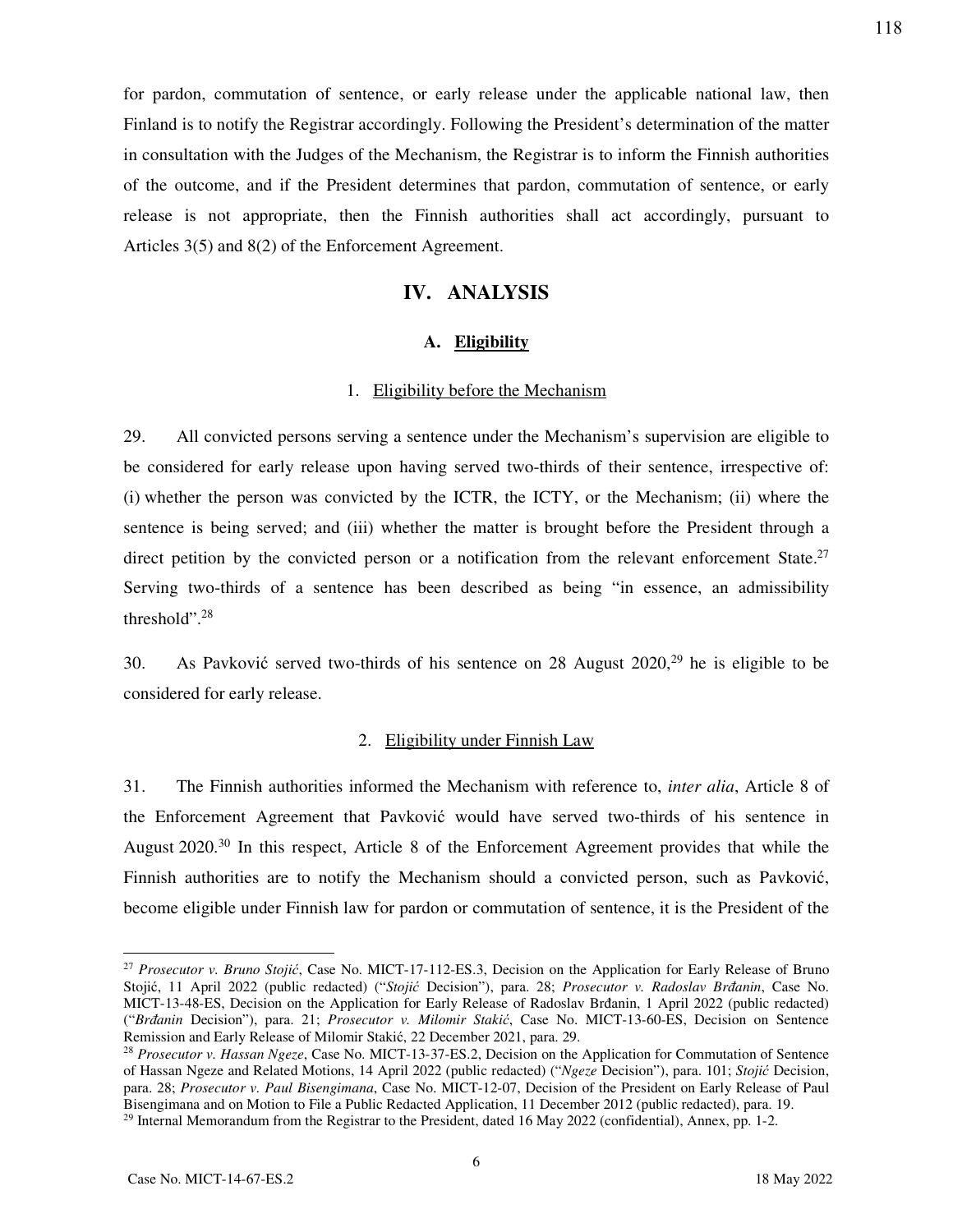for pardon, commutation of sentence, or early release under the applicable national law, then Finland is to notify the Registrar accordingly. Following the President's determination of the matter in consultation with the Judges of the Mechanism, the Registrar is to inform the Finnish authorities of the outcome, and if the President determines that pardon, commutation of sentence, or early release is not appropriate, then the Finnish authorities shall act accordingly, pursuant to Articles 3(5) and 8(2) of the Enforcement Agreement.

# **IV. ANALYSIS**

## **A. Eligibility**

#### 1. Eligibility before the Mechanism

29. All convicted persons serving a sentence under the Mechanism's supervision are eligible to be considered for early release upon having served two-thirds of their sentence, irrespective of: (i) whether the person was convicted by the ICTR, the ICTY, or the Mechanism; (ii) where the sentence is being served; and (iii) whether the matter is brought before the President through a direct petition by the convicted person or a notification from the relevant enforcement State.<sup>27</sup> Serving two-thirds of a sentence has been described as being "in essence, an admissibility threshold".<sup>28</sup>

30. As Pavković served two-thirds of his sentence on 28 August  $2020$ ,<sup>29</sup> he is eligible to be considered for early release.

#### 2. Eligibility under Finnish Law

31. The Finnish authorities informed the Mechanism with reference to, *inter alia*, Article 8 of the Enforcement Agreement that Pavković would have served two-thirds of his sentence in August 2020.<sup>30</sup> In this respect, Article 8 of the Enforcement Agreement provides that while the Finnish authorities are to notify the Mechanism should a convicted person, such as Pavković, become eligible under Finnish law for pardon or commutation of sentence, it is the President of the

<sup>27</sup> *Prosecutor v. Bruno Stojić*, Case No. MICT-17-112-ES.3, Decision on the Application for Early Release of Bruno Stojić, 11 April 2022 (public redacted) ("*Stojić* Decision"), para. 28; *Prosecutor v. Radoslav Brđanin*, Case No. MICT-13-48-ES, Decision on the Application for Early Release of Radoslav Brđanin, 1 April 2022 (public redacted) ("*Brđanin* Decision"), para. 21; *Prosecutor v. Milomir Stakić*, Case No. MICT-13-60-ES, Decision on Sentence Remission and Early Release of Milomir Stakić, 22 December 2021, para. 29.

<sup>28</sup> *Prosecutor v. Hassan Ngeze*, Case No. MICT-13-37-ES.2, Decision on the Application for Commutation of Sentence of Hassan Ngeze and Related Motions, 14 April 2022 (public redacted) ("*Ngeze* Decision"), para. 101; *Stojić* Decision, para. 28; *Prosecutor v. Paul Bisengimana*, Case No. MICT-12-07, Decision of the President on Early Release of Paul Bisengimana and on Motion to File a Public Redacted Application, 11 December 2012 (public redacted), para. 19. <sup>29</sup> Internal Memorandum from the Registrar to the President, dated 16 May 2022 (confidential), Annex, pp. 1-2.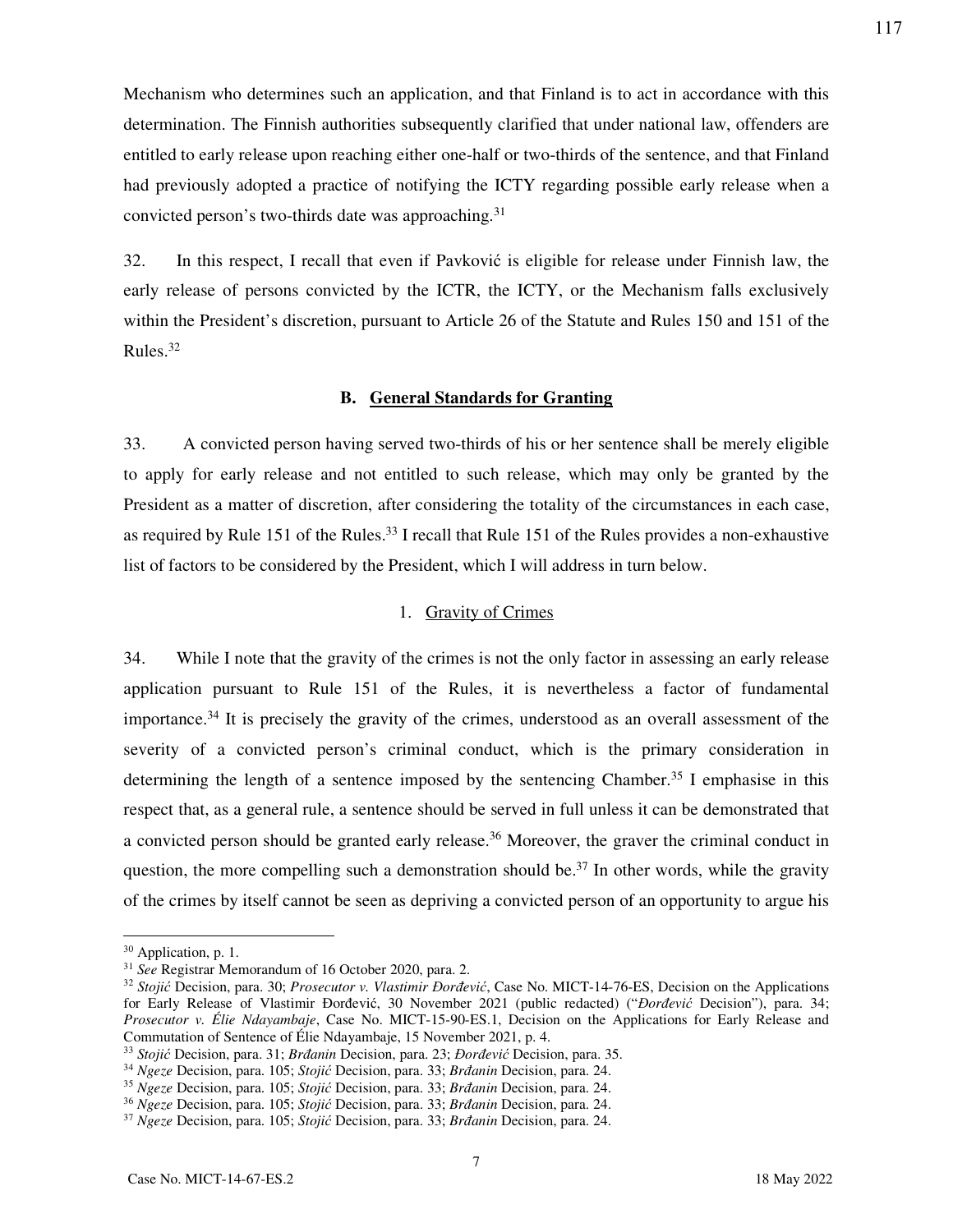Mechanism who determines such an application, and that Finland is to act in accordance with this determination. The Finnish authorities subsequently clarified that under national law, offenders are entitled to early release upon reaching either one-half or two-thirds of the sentence, and that Finland had previously adopted a practice of notifying the ICTY regarding possible early release when a convicted person's two-thirds date was approaching.<sup>31</sup>

32. In this respect, I recall that even if Pavković is eligible for release under Finnish law, the early release of persons convicted by the ICTR, the ICTY, or the Mechanism falls exclusively within the President's discretion, pursuant to Article 26 of the Statute and Rules 150 and 151 of the Rules.<sup>32</sup>

#### **B. General Standards for Granting**

33. A convicted person having served two-thirds of his or her sentence shall be merely eligible to apply for early release and not entitled to such release, which may only be granted by the President as a matter of discretion, after considering the totality of the circumstances in each case, as required by Rule 151 of the Rules.<sup>33</sup> I recall that Rule 151 of the Rules provides a non-exhaustive list of factors to be considered by the President, which I will address in turn below.

#### 1. Gravity of Crimes

34. While I note that the gravity of the crimes is not the only factor in assessing an early release application pursuant to Rule 151 of the Rules, it is nevertheless a factor of fundamental importance.<sup>34</sup> It is precisely the gravity of the crimes, understood as an overall assessment of the severity of a convicted person's criminal conduct, which is the primary consideration in determining the length of a sentence imposed by the sentencing Chamber.<sup>35</sup> I emphasise in this respect that, as a general rule, a sentence should be served in full unless it can be demonstrated that a convicted person should be granted early release.<sup>36</sup> Moreover, the graver the criminal conduct in question, the more compelling such a demonstration should be.<sup>37</sup> In other words, while the gravity of the crimes by itself cannot be seen as depriving a convicted person of an opportunity to argue his

-

<sup>30</sup> Application, p. 1.

<sup>31</sup> *See* Registrar Memorandum of 16 October 2020, para. 2.

<sup>32</sup> *Stojić* Decision, para. 30; *Prosecutor v. Vlastimir Đorđević*, Case No. MICT-14-76-ES, Decision on the Applications for Early Release of Vlastimir Đorđević, 30 November 2021 (public redacted) ("*Đorđević* Decision"), para. 34; *Prosecutor v. Élie Ndayambaje*, Case No. MICT-15-90-ES.1, Decision on the Applications for Early Release and Commutation of Sentence of Élie Ndayambaje, 15 November 2021, p. 4.

<sup>33</sup> *Stojić* Decision, para. 31; *Brđanin* Decision, para. 23; *Đorđević* Decision, para. 35.

<sup>34</sup> *Ngeze* Decision, para. 105; *Stojić* Decision, para. 33; *Brđanin* Decision, para. 24.

<sup>35</sup> *Ngeze* Decision, para. 105; *Stojić* Decision, para. 33; *Brđanin* Decision, para. 24.

<sup>36</sup> *Ngeze* Decision, para. 105; *Stojić* Decision, para. 33; *Brđanin* Decision, para. 24.

<sup>37</sup> *Ngeze* Decision, para. 105; *Stojić* Decision, para. 33; *Brđanin* Decision, para. 24.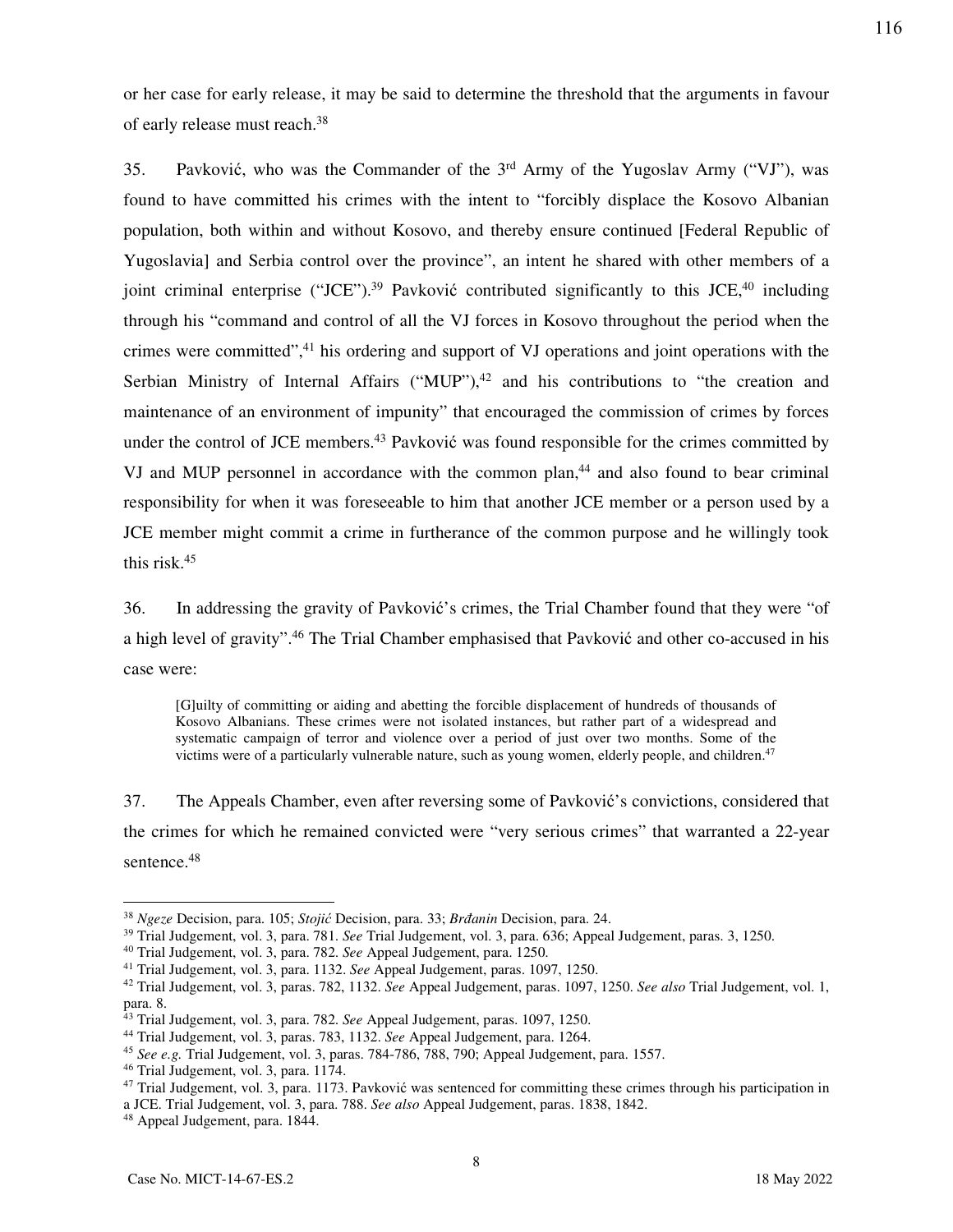or her case for early release, it may be said to determine the threshold that the arguments in favour of early release must reach.<sup>38</sup>

35. Pavković, who was the Commander of the 3rd Army of the Yugoslav Army ("VJ"), was found to have committed his crimes with the intent to "forcibly displace the Kosovo Albanian population, both within and without Kosovo, and thereby ensure continued [Federal Republic of Yugoslavia] and Serbia control over the province", an intent he shared with other members of a joint criminal enterprise ("JCE").<sup>39</sup> Pavković contributed significantly to this JCE,<sup>40</sup> including through his "command and control of all the VJ forces in Kosovo throughout the period when the crimes were committed",<sup>41</sup> his ordering and support of VJ operations and joint operations with the Serbian Ministry of Internal Affairs ("MUP"), $42$  and his contributions to "the creation and maintenance of an environment of impunity" that encouraged the commission of crimes by forces under the control of JCE members.<sup>43</sup> Pavković was found responsible for the crimes committed by VJ and MUP personnel in accordance with the common plan,<sup>44</sup> and also found to bear criminal responsibility for when it was foreseeable to him that another JCE member or a person used by a JCE member might commit a crime in furtherance of the common purpose and he willingly took this risk.<sup>45</sup>

36. In addressing the gravity of Pavković's crimes, the Trial Chamber found that they were "of a high level of gravity".<sup>46</sup> The Trial Chamber emphasised that Pavković and other co-accused in his case were:

[G]uilty of committing or aiding and abetting the forcible displacement of hundreds of thousands of Kosovo Albanians. These crimes were not isolated instances, but rather part of a widespread and systematic campaign of terror and violence over a period of just over two months. Some of the victims were of a particularly vulnerable nature, such as young women, elderly people, and children.<sup>47</sup>

37. The Appeals Chamber, even after reversing some of Pavković's convictions, considered that the crimes for which he remained convicted were "very serious crimes" that warranted a 22-year sentence.<sup>48</sup>

-

<sup>38</sup> *Ngeze* Decision, para. 105; *Stojić* Decision, para. 33; *Brđanin* Decision, para. 24.

<sup>39</sup> Trial Judgement, vol. 3, para. 781. *See* Trial Judgement, vol. 3, para. 636; Appeal Judgement, paras. 3, 1250.

<sup>40</sup> Trial Judgement, vol. 3, para. 782. *See* Appeal Judgement, para. 1250.

<sup>41</sup> Trial Judgement, vol. 3, para. 1132. *See* Appeal Judgement, paras. 1097, 1250.

<sup>42</sup> Trial Judgement, vol. 3, paras. 782, 1132. *See* Appeal Judgement, paras. 1097, 1250. *See also* Trial Judgement, vol. 1, para. 8.

<sup>43</sup> Trial Judgement, vol. 3, para. 782. *See* Appeal Judgement, paras. 1097, 1250.

<sup>44</sup> Trial Judgement, vol. 3, paras. 783, 1132. *See* Appeal Judgement, para. 1264.

<sup>45</sup> *See e.g.* Trial Judgement, vol. 3, paras. 784-786, 788, 790; Appeal Judgement, para. 1557.

<sup>46</sup> Trial Judgement, vol. 3, para. 1174.

<sup>&</sup>lt;sup>47</sup> Trial Judgement, vol. 3, para. 1173. Pavković was sentenced for committing these crimes through his participation in a JCE. Trial Judgement, vol. 3, para. 788. *See also* Appeal Judgement, paras. 1838, 1842.

<sup>48</sup> Appeal Judgement, para. 1844.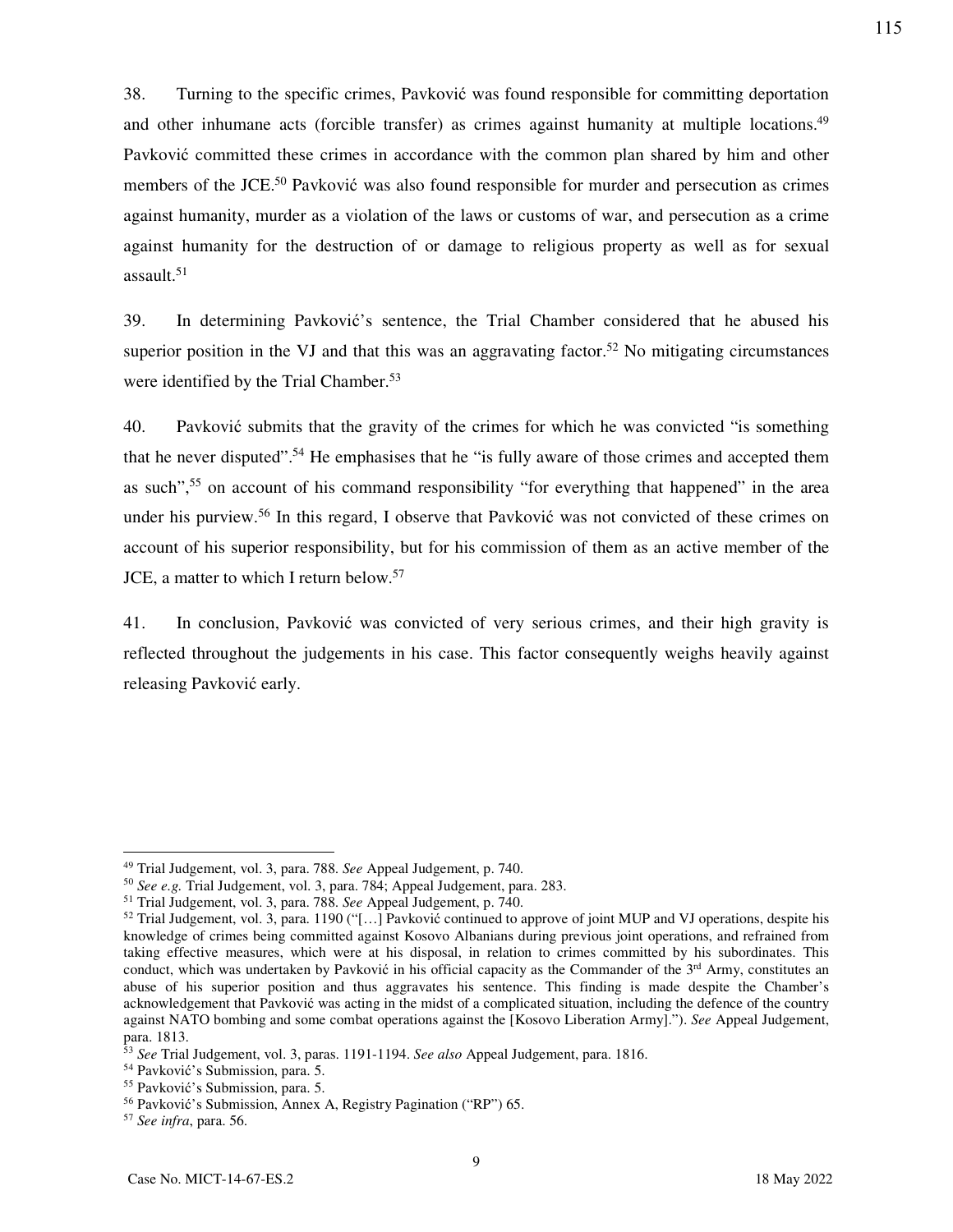38. Turning to the specific crimes, Pavković was found responsible for committing deportation and other inhumane acts (forcible transfer) as crimes against humanity at multiple locations.<sup>49</sup> Pavković committed these crimes in accordance with the common plan shared by him and other members of the JCE.<sup>50</sup> Pavković was also found responsible for murder and persecution as crimes against humanity, murder as a violation of the laws or customs of war, and persecution as a crime against humanity for the destruction of or damage to religious property as well as for sexual assault.<sup>51</sup>

39. In determining Pavković's sentence, the Trial Chamber considered that he abused his superior position in the VJ and that this was an aggravating factor.<sup>52</sup> No mitigating circumstances were identified by the Trial Chamber.<sup>53</sup>

40. Pavković submits that the gravity of the crimes for which he was convicted "is something that he never disputed".<sup>54</sup> He emphasises that he "is fully aware of those crimes and accepted them as such<sup>", 55</sup> on account of his command responsibility "for everything that happened" in the area under his purview.<sup>56</sup> In this regard, I observe that Pavković was not convicted of these crimes on account of his superior responsibility, but for his commission of them as an active member of the JCE, a matter to which I return below.<sup>57</sup>

41. In conclusion, Pavković was convicted of very serious crimes, and their high gravity is reflected throughout the judgements in his case. This factor consequently weighs heavily against releasing Pavković early.

<sup>49</sup> Trial Judgement, vol. 3, para. 788. *See* Appeal Judgement, p. 740.

<sup>50</sup> *See e.g.* Trial Judgement, vol. 3, para. 784; Appeal Judgement, para. 283.

<sup>51</sup> Trial Judgement, vol. 3, para. 788. *See* Appeal Judgement, p. 740.

 $52$  Trial Judgement, vol. 3, para. 1190 ("[...] Pavković continued to approve of joint MUP and VJ operations, despite his knowledge of crimes being committed against Kosovo Albanians during previous joint operations, and refrained from taking effective measures, which were at his disposal, in relation to crimes committed by his subordinates. This conduct, which was undertaken by Pavković in his official capacity as the Commander of the  $3<sup>rd</sup>$  Army, constitutes an abuse of his superior position and thus aggravates his sentence. This finding is made despite the Chamber's acknowledgement that Pavković was acting in the midst of a complicated situation, including the defence of the country against NATO bombing and some combat operations against the [Kosovo Liberation Army]."). *See* Appeal Judgement, para. 1813.

<sup>53</sup> *See* Trial Judgement, vol. 3, paras. 1191-1194. *See also* Appeal Judgement, para. 1816.

<sup>54</sup> Pavković's Submission, para. 5.

<sup>55</sup> Pavković's Submission, para. 5.

<sup>56</sup> Pavković's Submission, Annex A, Registry Pagination ("RP") 65.

<sup>57</sup> *See infra*, para. 56.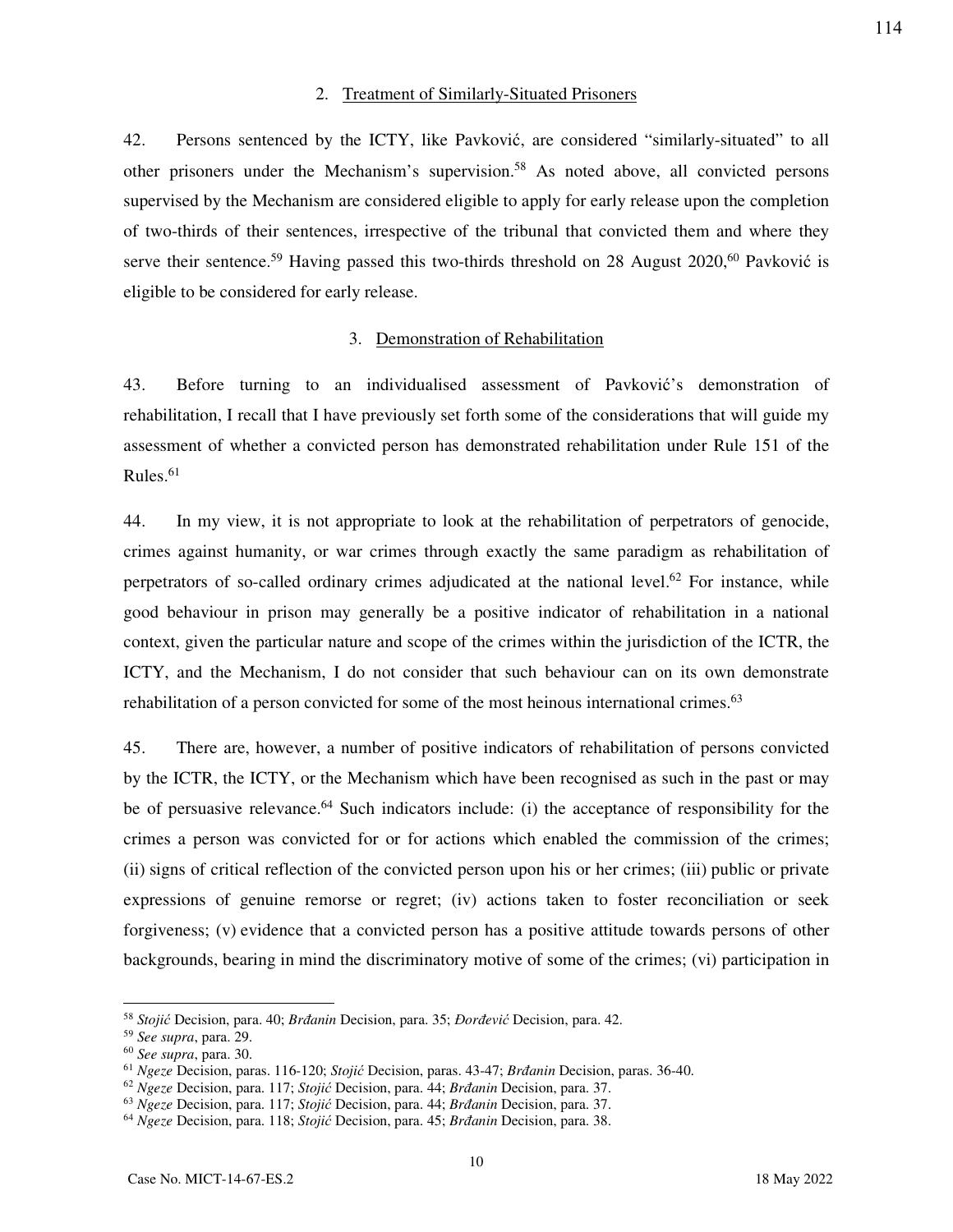#### 2. Treatment of Similarly-Situated Prisoners

42. Persons sentenced by the ICTY, like Pavković, are considered "similarly-situated" to all other prisoners under the Mechanism's supervision.<sup>58</sup> As noted above, all convicted persons supervised by the Mechanism are considered eligible to apply for early release upon the completion of two-thirds of their sentences, irrespective of the tribunal that convicted them and where they serve their sentence.<sup>59</sup> Having passed this two-thirds threshold on 28 August 2020,<sup>60</sup> Pavković is eligible to be considered for early release.

#### 3. Demonstration of Rehabilitation

43. Before turning to an individualised assessment of Pavković's demonstration of rehabilitation, I recall that I have previously set forth some of the considerations that will guide my assessment of whether a convicted person has demonstrated rehabilitation under Rule 151 of the Rules. $61$ 

44. In my view, it is not appropriate to look at the rehabilitation of perpetrators of genocide, crimes against humanity, or war crimes through exactly the same paradigm as rehabilitation of perpetrators of so-called ordinary crimes adjudicated at the national level.<sup>62</sup> For instance, while good behaviour in prison may generally be a positive indicator of rehabilitation in a national context, given the particular nature and scope of the crimes within the jurisdiction of the ICTR, the ICTY, and the Mechanism, I do not consider that such behaviour can on its own demonstrate rehabilitation of a person convicted for some of the most heinous international crimes.<sup>63</sup>

45. There are, however, a number of positive indicators of rehabilitation of persons convicted by the ICTR, the ICTY, or the Mechanism which have been recognised as such in the past or may be of persuasive relevance.<sup>64</sup> Such indicators include: (i) the acceptance of responsibility for the crimes a person was convicted for or for actions which enabled the commission of the crimes; (ii) signs of critical reflection of the convicted person upon his or her crimes; (iii) public or private expressions of genuine remorse or regret; (iv) actions taken to foster reconciliation or seek forgiveness; (v) evidence that a convicted person has a positive attitude towards persons of other backgrounds, bearing in mind the discriminatory motive of some of the crimes; (vi) participation in

10

<sup>58</sup> *Stojić* Decision, para. 40; *Brđanin* Decision, para. 35; *Đorđević* Decision, para. 42.

<sup>59</sup> *See supra*, para. 29.

<sup>60</sup> *See supra*, para. 30.

<sup>61</sup> *Ngeze* Decision, paras. 116-120; *Stojić* Decision, paras. 43-47; *Brđanin* Decision, paras. 36-40.

<sup>62</sup> *Ngeze* Decision, para. 117; *Stojić* Decision, para. 44; *Brđanin* Decision, para. 37.

<sup>63</sup> *Ngeze* Decision, para. 117; *Stojić* Decision, para. 44; *Brđanin* Decision, para. 37.

<sup>64</sup> *Ngeze* Decision, para. 118; *Stojić* Decision, para. 45; *Brđanin* Decision, para. 38.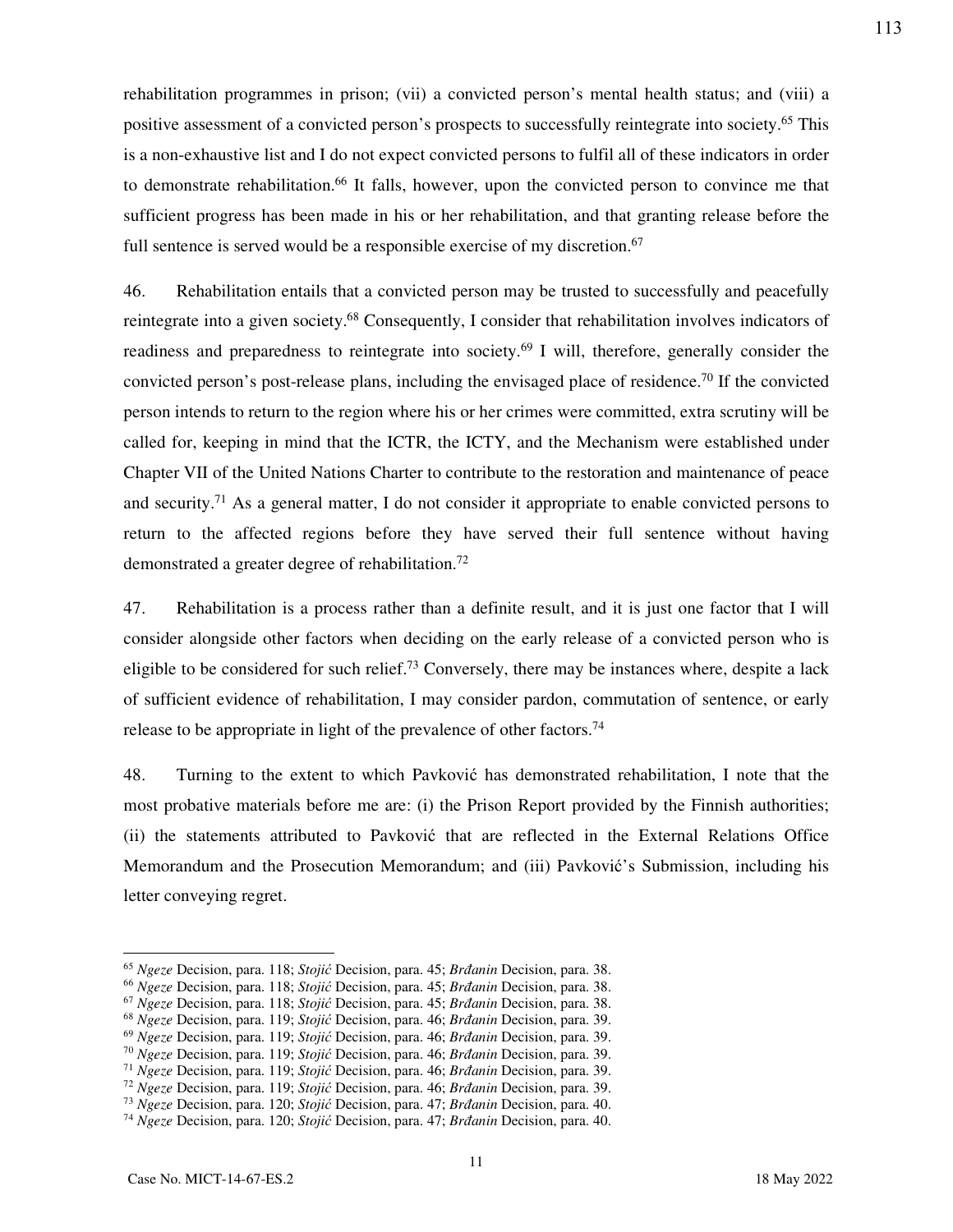rehabilitation programmes in prison; (vii) a convicted person's mental health status; and (viii) a positive assessment of a convicted person's prospects to successfully reintegrate into society.<sup>65</sup> This is a non-exhaustive list and I do not expect convicted persons to fulfil all of these indicators in order to demonstrate rehabilitation.<sup>66</sup> It falls, however, upon the convicted person to convince me that sufficient progress has been made in his or her rehabilitation, and that granting release before the full sentence is served would be a responsible exercise of my discretion.<sup>67</sup>

46. Rehabilitation entails that a convicted person may be trusted to successfully and peacefully reintegrate into a given society.<sup>68</sup> Consequently, I consider that rehabilitation involves indicators of readiness and preparedness to reintegrate into society.<sup>69</sup> I will, therefore, generally consider the convicted person's post-release plans, including the envisaged place of residence.<sup>70</sup> If the convicted person intends to return to the region where his or her crimes were committed, extra scrutiny will be called for, keeping in mind that the ICTR, the ICTY, and the Mechanism were established under Chapter VII of the United Nations Charter to contribute to the restoration and maintenance of peace and security.<sup>71</sup> As a general matter, I do not consider it appropriate to enable convicted persons to return to the affected regions before they have served their full sentence without having demonstrated a greater degree of rehabilitation.<sup>72</sup>

47. Rehabilitation is a process rather than a definite result, and it is just one factor that I will consider alongside other factors when deciding on the early release of a convicted person who is eligible to be considered for such relief.<sup>73</sup> Conversely, there may be instances where, despite a lack of sufficient evidence of rehabilitation, I may consider pardon, commutation of sentence, or early release to be appropriate in light of the prevalence of other factors.<sup>74</sup>

48. Turning to the extent to which Pavković has demonstrated rehabilitation, I note that the most probative materials before me are: (i) the Prison Report provided by the Finnish authorities; (ii) the statements attributed to Pavković that are reflected in the External Relations Office Memorandum and the Prosecution Memorandum; and (iii) Pavković's Submission, including his letter conveying regret.

<sup>65</sup> *Ngeze* Decision, para. 118; *Stojić* Decision, para. 45; *Brđanin* Decision, para. 38.

<sup>66</sup> *Ngeze* Decision, para. 118; *Stojić* Decision, para. 45; *Brđanin* Decision, para. 38.

<sup>67</sup> *Ngeze* Decision, para. 118; *Stojić* Decision, para. 45; *Brđanin* Decision, para. 38.

<sup>68</sup> *Ngeze* Decision, para. 119; *Stojić* Decision, para. 46; *Brđanin* Decision, para. 39.

<sup>69</sup> *Ngeze* Decision, para. 119; *Stojić* Decision, para. 46; *Brđanin* Decision, para. 39.

<sup>70</sup> *Ngeze* Decision, para. 119; *Stojić* Decision, para. 46; *Brđanin* Decision, para. 39.

<sup>71</sup> *Ngeze* Decision, para. 119; *Stojić* Decision, para. 46; *Brđanin* Decision, para. 39.

<sup>72</sup> *Ngeze* Decision, para. 119; *Stojić* Decision, para. 46; *Brđanin* Decision, para. 39.

<sup>73</sup> *Ngeze* Decision, para. 120; *Stojić* Decision, para. 47; *Brđanin* Decision, para. 40.

<sup>74</sup> *Ngeze* Decision, para. 120; *Stojić* Decision, para. 47; *Brđanin* Decision, para. 40.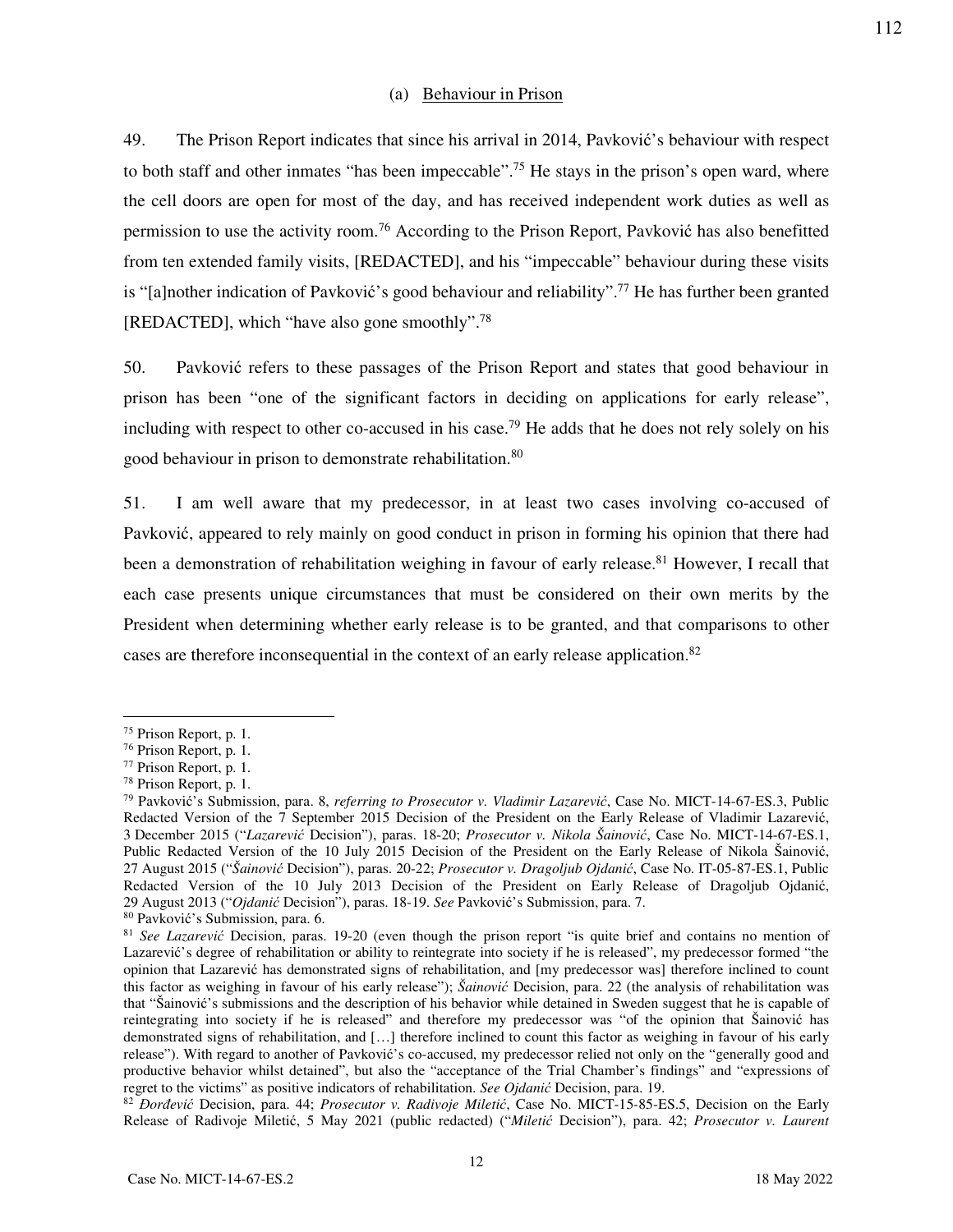#### (a) Behaviour in Prison

49. The Prison Report indicates that since his arrival in 2014, Pavković's behaviour with respect to both staff and other inmates "has been impeccable".<sup>75</sup> He stays in the prison's open ward, where the cell doors are open for most of the day, and has received independent work duties as well as permission to use the activity room.<sup>76</sup> According to the Prison Report, Pavković has also benefitted from ten extended family visits, [REDACTED], and his "impeccable" behaviour during these visits is "[a]nother indication of Pavković's good behaviour and reliability".<sup>77</sup> He has further been granted [REDACTED], which "have also gone smoothly".<sup>78</sup>

50. Pavković refers to these passages of the Prison Report and states that good behaviour in prison has been "one of the significant factors in deciding on applications for early release", including with respect to other co-accused in his case.<sup>79</sup> He adds that he does not rely solely on his good behaviour in prison to demonstrate rehabilitation.<sup>80</sup>

51. I am well aware that my predecessor, in at least two cases involving co-accused of Pavković, appeared to rely mainly on good conduct in prison in forming his opinion that there had been a demonstration of rehabilitation weighing in favour of early release.<sup>81</sup> However, I recall that each case presents unique circumstances that must be considered on their own merits by the President when determining whether early release is to be granted, and that comparisons to other cases are therefore inconsequential in the context of an early release application.<sup>82</sup>

<sup>75</sup> Prison Report, p. 1.

<sup>76</sup> Prison Report, p. 1.

<sup>77</sup> Prison Report, p. 1.

<sup>78</sup> Prison Report, p. 1.

<sup>79</sup> Pavković's Submission, para. 8, *referring to Prosecutor v. Vladimir Lazarević*, Case No. MICT-14-67-ES.3, Public Redacted Version of the 7 September 2015 Decision of the President on the Early Release of Vladimir Lazarević, 3 December 2015 ("*Lazarević* Decision"), paras. 18-20; *Prosecutor v. Nikola Šainović*, Case No. MICT-14-67-ES.1, Public Redacted Version of the 10 July 2015 Decision of the President on the Early Release of Nikola Šainović, 27 August 2015 ("*Šainović* Decision"), paras. 20-22; *Prosecutor v. Dragoljub Ojdanić*, Case No. IT-05-87-ES.1, Public Redacted Version of the 10 July 2013 Decision of the President on Early Release of Dragoljub Ojdanić, 29 August 2013 ("*Ojdanić* Decision"), paras. 18-19. *See* Pavković's Submission, para. 7.

<sup>80</sup> Pavković's Submission, para. 6.

<sup>81</sup> *See Lazarević* Decision, paras. 19-20 (even though the prison report "is quite brief and contains no mention of Lazarević's degree of rehabilitation or ability to reintegrate into society if he is released", my predecessor formed "the opinion that Lazarević has demonstrated signs of rehabilitation, and [my predecessor was] therefore inclined to count this factor as weighing in favour of his early release"); *Šainović* Decision, para. 22 (the analysis of rehabilitation was that "Šainović's submissions and the description of his behavior while detained in Sweden suggest that he is capable of reintegrating into society if he is released" and therefore my predecessor was "of the opinion that Šainović has demonstrated signs of rehabilitation, and […] therefore inclined to count this factor as weighing in favour of his early release"). With regard to another of Pavković's co-accused, my predecessor relied not only on the "generally good and productive behavior whilst detained", but also the "acceptance of the Trial Chamber's findings" and "expressions of regret to the victims" as positive indicators of rehabilitation. *See Ojdanić* Decision, para. 19.

<sup>82</sup> *Đorđević* Decision, para. 44; *Prosecutor v. Radivoje Miletić*, Case No. MICT-15-85-ES.5, Decision on the Early Release of Radivoje Miletić, 5 May 2021 (public redacted) ("*Miletić* Decision"), para. 42; *Prosecutor v. Laurent*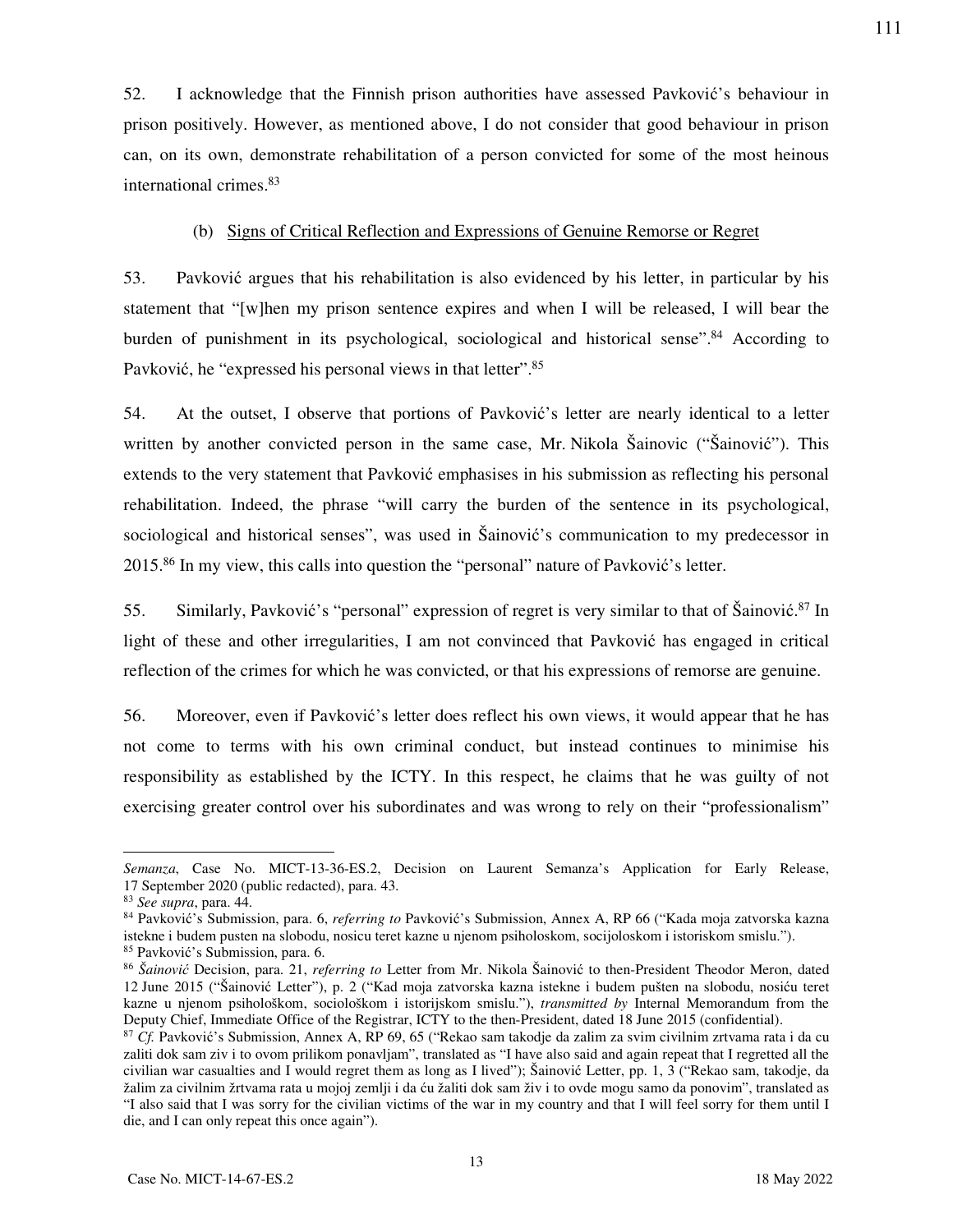52. I acknowledge that the Finnish prison authorities have assessed Pavković's behaviour in prison positively. However, as mentioned above, I do not consider that good behaviour in prison can, on its own, demonstrate rehabilitation of a person convicted for some of the most heinous international crimes.<sup>83</sup>

## (b) Signs of Critical Reflection and Expressions of Genuine Remorse or Regret

53. Pavković argues that his rehabilitation is also evidenced by his letter, in particular by his statement that "[w]hen my prison sentence expires and when I will be released, I will bear the burden of punishment in its psychological, sociological and historical sense".<sup>84</sup> According to Pavković, he "expressed his personal views in that letter".<sup>85</sup>

54. At the outset, I observe that portions of Pavković's letter are nearly identical to a letter written by another convicted person in the same case, Mr. Nikola Šainovic ("Šainović"). This extends to the very statement that Pavković emphasises in his submission as reflecting his personal rehabilitation. Indeed, the phrase "will carry the burden of the sentence in its psychological, sociological and historical senses", was used in Šainović's communication to my predecessor in 2015.<sup>86</sup> In my view, this calls into question the "personal" nature of Pavković's letter.

55. Similarly, Pavković's "personal" expression of regret is very similar to that of Šainović.<sup>87</sup> In light of these and other irregularities, I am not convinced that Pavković has engaged in critical reflection of the crimes for which he was convicted, or that his expressions of remorse are genuine.

56. Moreover, even if Pavković's letter does reflect his own views, it would appear that he has not come to terms with his own criminal conduct, but instead continues to minimise his responsibility as established by the ICTY. In this respect, he claims that he was guilty of not exercising greater control over his subordinates and was wrong to rely on their "professionalism"

*Semanza*, Case No. MICT-13-36-ES.2, Decision on Laurent Semanza's Application for Early Release, 17 September 2020 (public redacted), para. 43.

<sup>83</sup> *See supra*, para. 44.

<sup>84</sup> Pavković's Submission, para. 6, *referring to* Pavković's Submission, Annex A, RP 66 ("Kada moja zatvorska kazna istekne i budem pusten na slobodu, nosicu teret kazne u njenom psiholoskom, socijoloskom i istoriskom smislu."). <sup>85</sup> Pavković's Submission, para. 6.

<sup>86</sup> *Šainović* Decision, para. 21, *referring to* Letter from Mr. Nikola Šainović to then-President Theodor Meron, dated 12 June 2015 ("Šainović Letter"), p. 2 ("Kad moja zatvorska kazna istekne i budem pušten na slobodu, nosiću teret kazne u njenom psihološkom, sociološkom i istorijskom smislu."), *transmitted by* Internal Memorandum from the Deputy Chief, Immediate Office of the Registrar, ICTY to the then-President, dated 18 June 2015 (confidential).

<sup>87</sup> *Cf.* Pavković's Submission, Annex A, RP 69, 65 ("Rekao sam takodje da zalim za svim civilnim zrtvama rata i da cu zaliti dok sam ziv i to ovom prilikom ponavljam", translated as "I have also said and again repeat that I regretted all the civilian war casualties and I would regret them as long as I lived"); Šainović Letter, pp. 1, 3 ("Rekao sam, takodje, da žalim za civilnim žrtvama rata u mojoj zemlji i da ću žaliti dok sam živ i to ovde mogu samo da ponovim", translated as "I also said that I was sorry for the civilian victims of the war in my country and that I will feel sorry for them until I die, and I can only repeat this once again").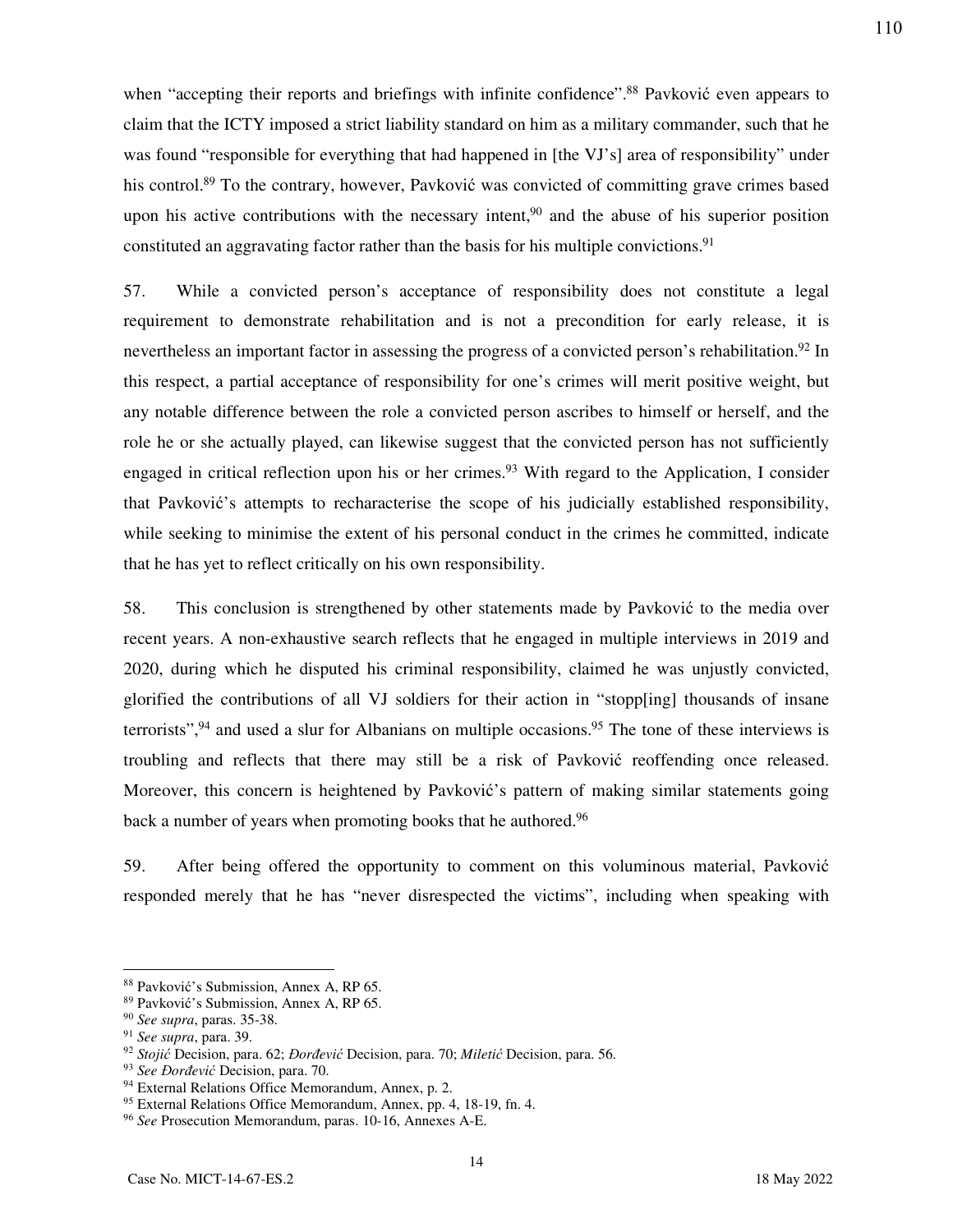when "accepting their reports and briefings with infinite confidence".<sup>88</sup> Pavković even appears to claim that the ICTY imposed a strict liability standard on him as a military commander, such that he was found "responsible for everything that had happened in [the VJ's] area of responsibility" under his control.<sup>89</sup> To the contrary, however, Pavković was convicted of committing grave crimes based upon his active contributions with the necessary intent,<sup>90</sup> and the abuse of his superior position constituted an aggravating factor rather than the basis for his multiple convictions.<sup>91</sup>

57. While a convicted person's acceptance of responsibility does not constitute a legal requirement to demonstrate rehabilitation and is not a precondition for early release, it is nevertheless an important factor in assessing the progress of a convicted person's rehabilitation.<sup>92</sup> In this respect, a partial acceptance of responsibility for one's crimes will merit positive weight, but any notable difference between the role a convicted person ascribes to himself or herself, and the role he or she actually played, can likewise suggest that the convicted person has not sufficiently engaged in critical reflection upon his or her crimes.<sup>93</sup> With regard to the Application, I consider that Pavković's attempts to recharacterise the scope of his judicially established responsibility, while seeking to minimise the extent of his personal conduct in the crimes he committed, indicate that he has yet to reflect critically on his own responsibility.

58. This conclusion is strengthened by other statements made by Pavković to the media over recent years. A non-exhaustive search reflects that he engaged in multiple interviews in 2019 and 2020, during which he disputed his criminal responsibility, claimed he was unjustly convicted, glorified the contributions of all VJ soldiers for their action in "stopp[ing] thousands of insane terrorists",  $94$  and used a slur for Albanians on multiple occasions.  $95$  The tone of these interviews is troubling and reflects that there may still be a risk of Pavković reoffending once released. Moreover, this concern is heightened by Pavković's pattern of making similar statements going back a number of years when promoting books that he authored.<sup>96</sup>

59. After being offered the opportunity to comment on this voluminous material, Pavković responded merely that he has "never disrespected the victims", including when speaking with

-

<sup>88</sup> Pavković's Submission, Annex A, RP 65.

<sup>89</sup> Pavković's Submission, Annex A, RP 65.

<sup>90</sup> *See supra*, paras. 35-38.

<sup>91</sup> *See supra*, para. 39.

<sup>92</sup> *Stojić* Decision, para. 62; *Đorđević* Decision, para. 70; *Miletić* Decision, para. 56.

<sup>93</sup> *See Đorđević* Decision, para. 70.

<sup>94</sup> External Relations Office Memorandum, Annex, p. 2.

<sup>95</sup> External Relations Office Memorandum, Annex, pp. 4, 18-19, fn. 4. <sup>96</sup> *See* Prosecution Memorandum, paras. 10-16, Annexes A-E.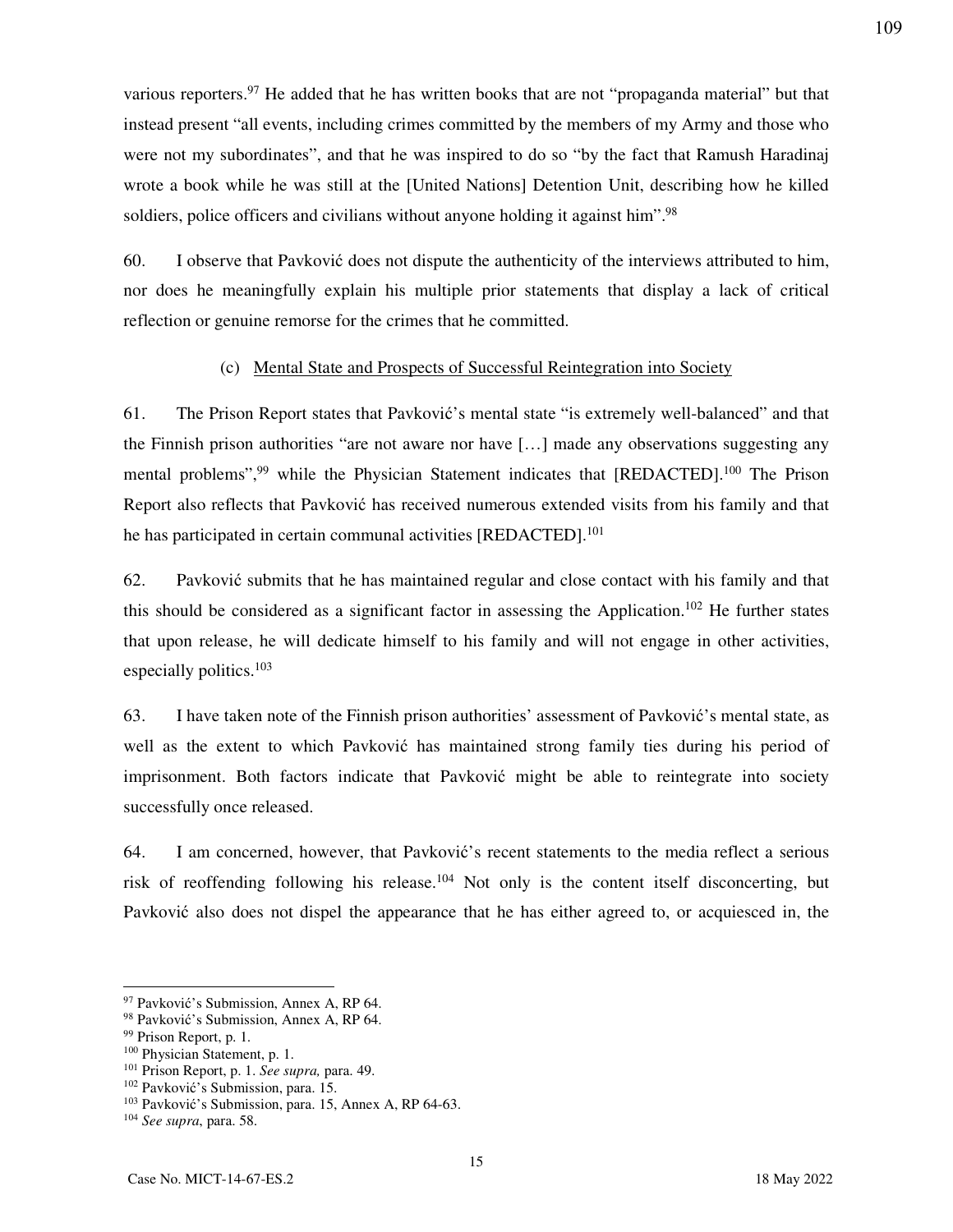various reporters.<sup>97</sup> He added that he has written books that are not "propaganda material" but that instead present "all events, including crimes committed by the members of my Army and those who were not my subordinates", and that he was inspired to do so "by the fact that Ramush Haradinaj wrote a book while he was still at the [United Nations] Detention Unit, describing how he killed soldiers, police officers and civilians without anyone holding it against him".<sup>98</sup>

60. I observe that Pavković does not dispute the authenticity of the interviews attributed to him, nor does he meaningfully explain his multiple prior statements that display a lack of critical reflection or genuine remorse for the crimes that he committed.

## (c) Mental State and Prospects of Successful Reintegration into Society

61. The Prison Report states that Pavković's mental state "is extremely well-balanced" and that the Finnish prison authorities "are not aware nor have […] made any observations suggesting any mental problems",<sup>99</sup> while the Physician Statement indicates that [REDACTED].<sup>100</sup> The Prison Report also reflects that Pavković has received numerous extended visits from his family and that he has participated in certain communal activities [REDACTED].<sup>101</sup>

62. Pavković submits that he has maintained regular and close contact with his family and that this should be considered as a significant factor in assessing the Application.<sup>102</sup> He further states that upon release, he will dedicate himself to his family and will not engage in other activities, especially politics.<sup>103</sup>

63. I have taken note of the Finnish prison authorities' assessment of Pavković's mental state, as well as the extent to which Pavković has maintained strong family ties during his period of imprisonment. Both factors indicate that Pavković might be able to reintegrate into society successfully once released.

64. I am concerned, however, that Pavković's recent statements to the media reflect a serious risk of reoffending following his release.<sup>104</sup> Not only is the content itself disconcerting, but Pavković also does not dispel the appearance that he has either agreed to, or acquiesced in, the

15

<sup>97</sup> Pavković's Submission, Annex A, RP 64.

<sup>98</sup> Pavković's Submission, Annex A, RP 64.

<sup>&</sup>lt;sup>99</sup> Prison Report, p. 1.

<sup>100</sup> Physician Statement, p. 1.

<sup>101</sup> Prison Report, p. 1. *See supra,* para. 49.

<sup>102</sup> Pavković's Submission, para. 15.

<sup>103</sup> Pavković's Submission, para. 15, Annex A, RP 64-63.

<sup>104</sup> *See supra*, para. 58.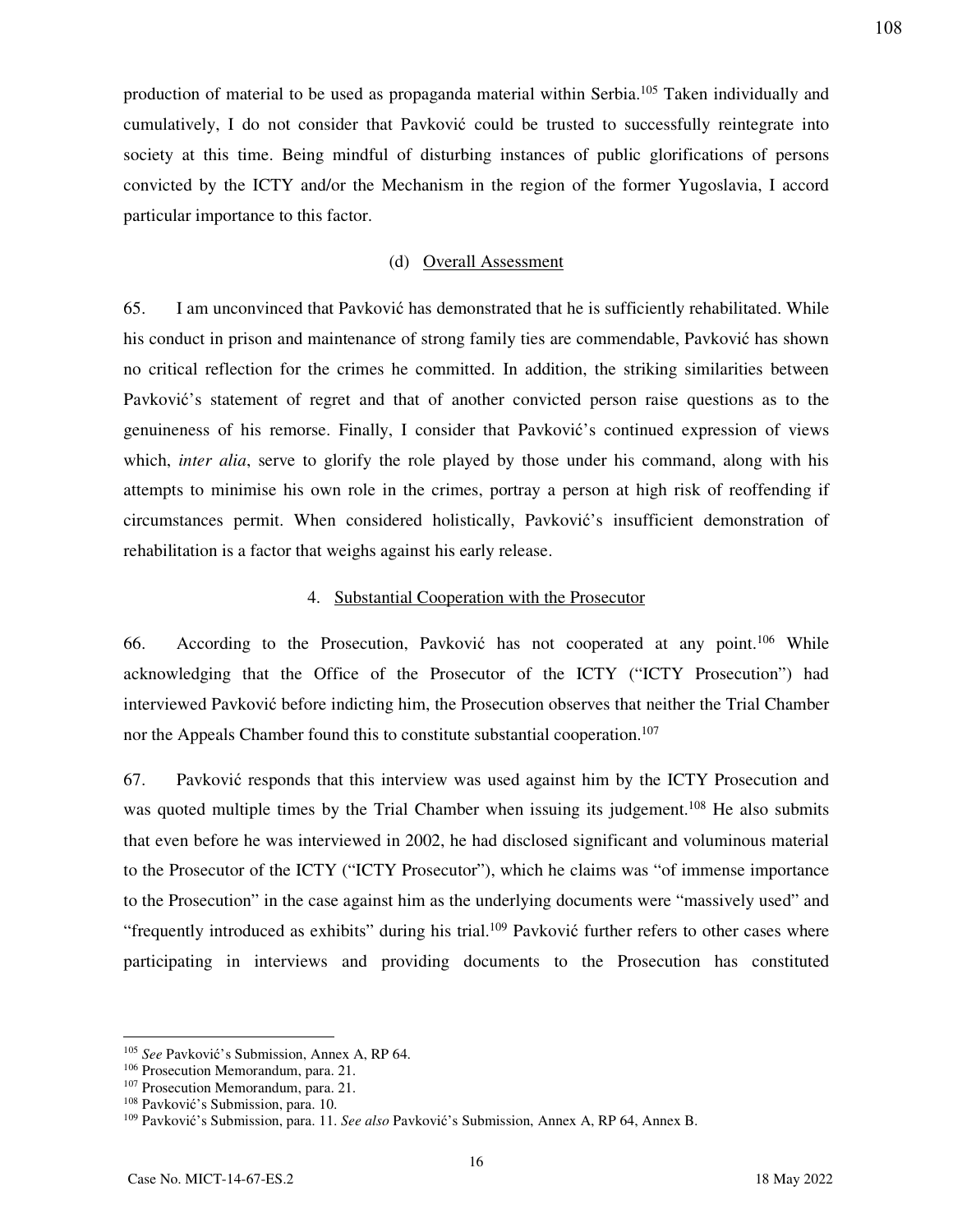production of material to be used as propaganda material within Serbia.<sup>105</sup> Taken individually and cumulatively, I do not consider that Pavković could be trusted to successfully reintegrate into society at this time. Being mindful of disturbing instances of public glorifications of persons convicted by the ICTY and/or the Mechanism in the region of the former Yugoslavia, I accord particular importance to this factor.

#### (d) Overall Assessment

65. I am unconvinced that Pavković has demonstrated that he is sufficiently rehabilitated. While his conduct in prison and maintenance of strong family ties are commendable, Pavković has shown no critical reflection for the crimes he committed. In addition, the striking similarities between Pavković's statement of regret and that of another convicted person raise questions as to the genuineness of his remorse. Finally, I consider that Pavković's continued expression of views which, *inter alia*, serve to glorify the role played by those under his command, along with his attempts to minimise his own role in the crimes, portray a person at high risk of reoffending if circumstances permit. When considered holistically, Pavković's insufficient demonstration of rehabilitation is a factor that weighs against his early release.

## 4. Substantial Cooperation with the Prosecutor

66. According to the Prosecution, Pavković has not cooperated at any point.<sup>106</sup> While acknowledging that the Office of the Prosecutor of the ICTY ("ICTY Prosecution") had interviewed Pavković before indicting him, the Prosecution observes that neither the Trial Chamber nor the Appeals Chamber found this to constitute substantial cooperation.<sup>107</sup>

67. Pavković responds that this interview was used against him by the ICTY Prosecution and was quoted multiple times by the Trial Chamber when issuing its judgement.<sup>108</sup> He also submits that even before he was interviewed in 2002, he had disclosed significant and voluminous material to the Prosecutor of the ICTY ("ICTY Prosecutor"), which he claims was "of immense importance to the Prosecution" in the case against him as the underlying documents were "massively used" and "frequently introduced as exhibits" during his trial.<sup>109</sup> Pavković further refers to other cases where participating in interviews and providing documents to the Prosecution has constituted

<sup>105</sup> *See* Pavković's Submission, Annex A, RP 64.

<sup>106</sup> Prosecution Memorandum, para. 21.

<sup>107</sup> Prosecution Memorandum, para. 21.

<sup>108</sup> Pavković's Submission, para. 10.

<sup>109</sup> Pavković's Submission, para. 11. *See also* Pavković's Submission, Annex A, RP 64, Annex B.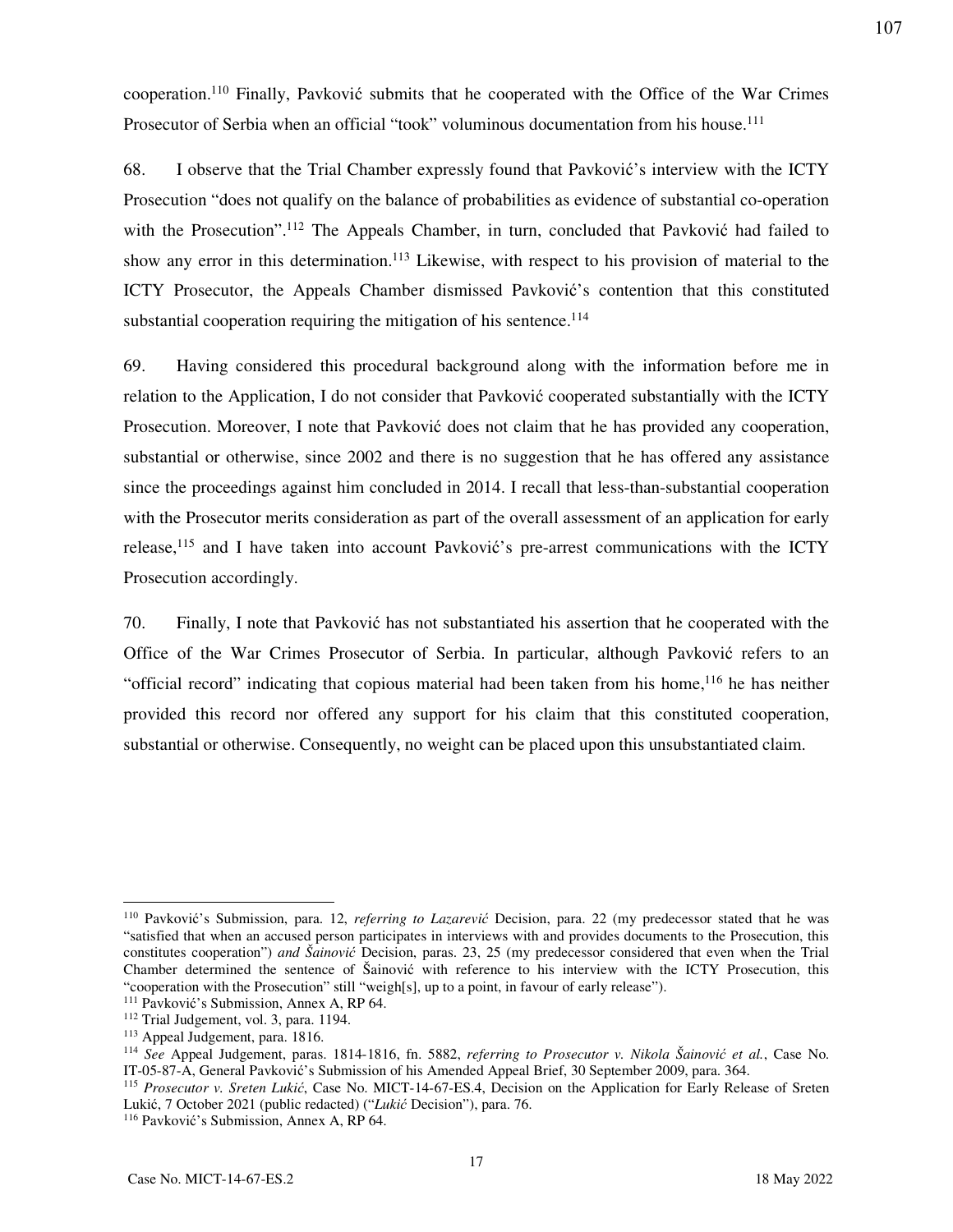cooperation.<sup>110</sup> Finally, Pavković submits that he cooperated with the Office of the War Crimes Prosecutor of Serbia when an official "took" voluminous documentation from his house.<sup>111</sup>

68. I observe that the Trial Chamber expressly found that Pavković's interview with the ICTY Prosecution "does not qualify on the balance of probabilities as evidence of substantial co-operation with the Prosecution".<sup>112</sup> The Appeals Chamber, in turn, concluded that Pavković had failed to show any error in this determination.<sup>113</sup> Likewise, with respect to his provision of material to the ICTY Prosecutor, the Appeals Chamber dismissed Pavković's contention that this constituted substantial cooperation requiring the mitigation of his sentence.<sup>114</sup>

69. Having considered this procedural background along with the information before me in relation to the Application, I do not consider that Pavković cooperated substantially with the ICTY Prosecution. Moreover, I note that Pavković does not claim that he has provided any cooperation, substantial or otherwise, since 2002 and there is no suggestion that he has offered any assistance since the proceedings against him concluded in 2014. I recall that less-than-substantial cooperation with the Prosecutor merits consideration as part of the overall assessment of an application for early release,<sup>115</sup> and I have taken into account Pavković's pre-arrest communications with the ICTY Prosecution accordingly.

70. Finally, I note that Pavković has not substantiated his assertion that he cooperated with the Office of the War Crimes Prosecutor of Serbia. In particular, although Pavković refers to an "official record" indicating that copious material had been taken from his home,<sup>116</sup> he has neither provided this record nor offered any support for his claim that this constituted cooperation, substantial or otherwise. Consequently, no weight can be placed upon this unsubstantiated claim.

<sup>110</sup> Pavković's Submission, para. 12, *referring to Lazarević* Decision, para. 22 (my predecessor stated that he was "satisfied that when an accused person participates in interviews with and provides documents to the Prosecution, this constitutes cooperation") *and Šainović* Decision, paras. 23, 25 (my predecessor considered that even when the Trial Chamber determined the sentence of Šainović with reference to his interview with the ICTY Prosecution, this "cooperation with the Prosecution" still "weigh[s], up to a point, in favour of early release").

<sup>&</sup>lt;sup>111</sup> Pavković's Submission, Annex A, RP 64.

<sup>112</sup> Trial Judgement, vol. 3, para. 1194.

<sup>113</sup> Appeal Judgement, para. 1816.

<sup>114</sup> *See* Appeal Judgement, paras. 1814-1816, fn. 5882, *referring to Prosecutor v. Nikola Šainović et al.*, Case No. IT-05-87-A, General Pavković's Submission of his Amended Appeal Brief, 30 September 2009, para. 364.

<sup>115</sup> *Prosecutor v. Sreten Lukić*, Case No. MICT-14-67-ES.4, Decision on the Application for Early Release of Sreten Lukić, 7 October 2021 (public redacted) ("*Lukić* Decision"), para. 76.

<sup>116</sup> Pavković's Submission, Annex A, RP 64.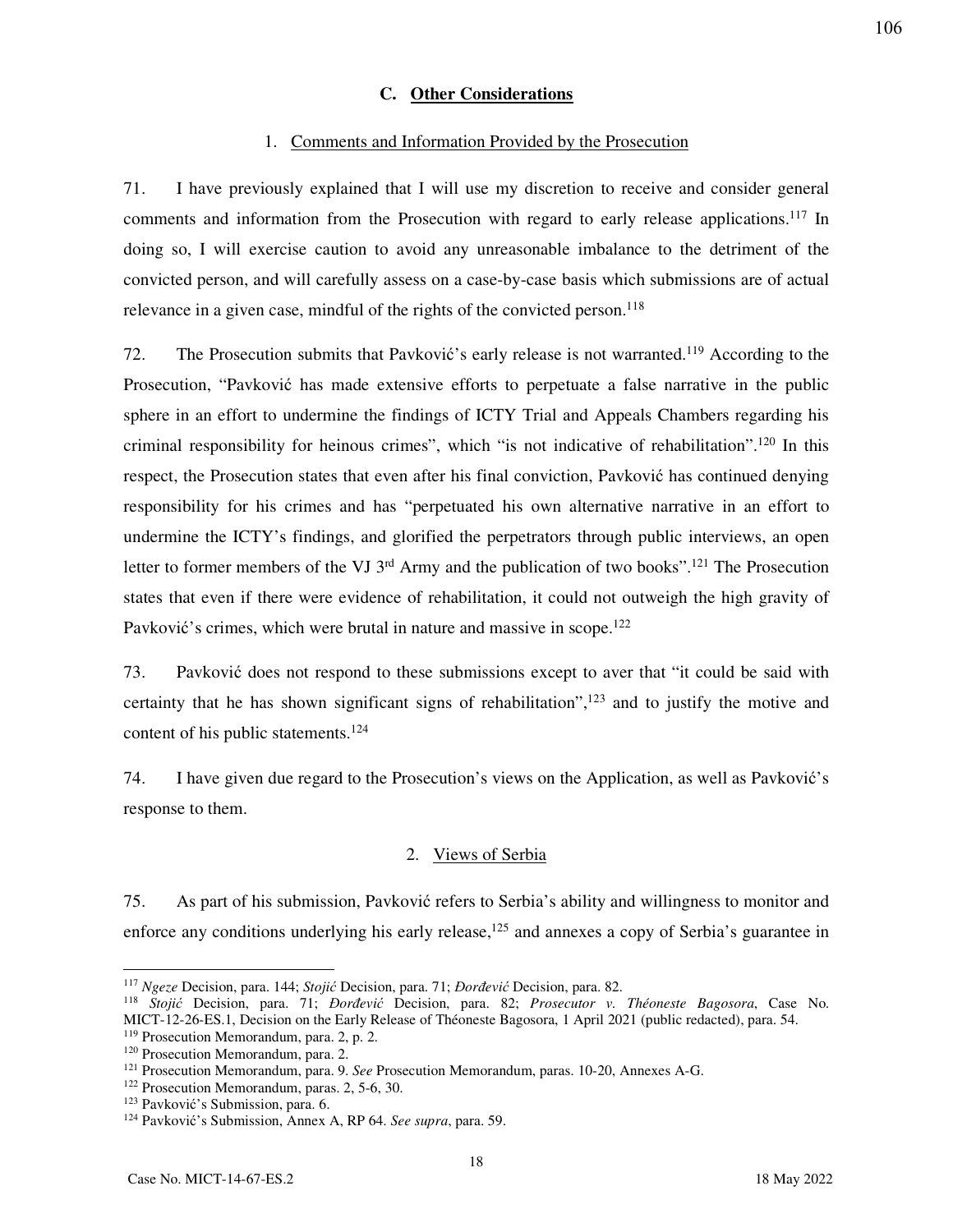## **C. Other Considerations**

#### 1. Comments and Information Provided by the Prosecution

71. I have previously explained that I will use my discretion to receive and consider general comments and information from the Prosecution with regard to early release applications.<sup>117</sup> In doing so, I will exercise caution to avoid any unreasonable imbalance to the detriment of the convicted person, and will carefully assess on a case-by-case basis which submissions are of actual relevance in a given case, mindful of the rights of the convicted person.<sup>118</sup>

72. The Prosecution submits that Pavković's early release is not warranted.<sup>119</sup> According to the Prosecution, "Pavković has made extensive efforts to perpetuate a false narrative in the public sphere in an effort to undermine the findings of ICTY Trial and Appeals Chambers regarding his criminal responsibility for heinous crimes", which "is not indicative of rehabilitation".<sup>120</sup> In this respect, the Prosecution states that even after his final conviction, Pavković has continued denying responsibility for his crimes and has "perpetuated his own alternative narrative in an effort to undermine the ICTY's findings, and glorified the perpetrators through public interviews, an open letter to former members of the VJ  $3<sup>rd</sup>$  Army and the publication of two books".<sup>121</sup> The Prosecution states that even if there were evidence of rehabilitation, it could not outweigh the high gravity of Pavković's crimes, which were brutal in nature and massive in scope.<sup>122</sup>

73. Pavković does not respond to these submissions except to aver that "it could be said with certainty that he has shown significant signs of rehabilitation", $123$  and to justify the motive and content of his public statements.<sup>124</sup>

74. I have given due regard to the Prosecution's views on the Application, as well as Pavković's response to them.

### 2. Views of Serbia

75. As part of his submission, Pavković refers to Serbia's ability and willingness to monitor and enforce any conditions underlying his early release,<sup>125</sup> and annexes a copy of Serbia's guarantee in

-

<sup>117</sup> *Ngeze* Decision, para. 144; *Stojić* Decision, para. 71; *Đorđević* Decision, para. 82.

<sup>118</sup> *Stojić* Decision, para. 71; *Đorđević* Decision, para. 82; *Prosecutor v. Théoneste Bagosora*, Case No. MICT-12-26-ES.1, Decision on the Early Release of Théoneste Bagosora, 1 April 2021 (public redacted), para. 54. <sup>119</sup> Prosecution Memorandum, para. 2, p. 2.

<sup>120</sup> Prosecution Memorandum, para. 2.

<sup>121</sup> Prosecution Memorandum, para. 9. *See* Prosecution Memorandum, paras. 10-20, Annexes A-G.

<sup>122</sup> Prosecution Memorandum, paras. 2, 5-6, 30.

<sup>123</sup> Pavković's Submission, para. 6.

<sup>124</sup> Pavković's Submission, Annex A, RP 64. *See supra*, para. 59.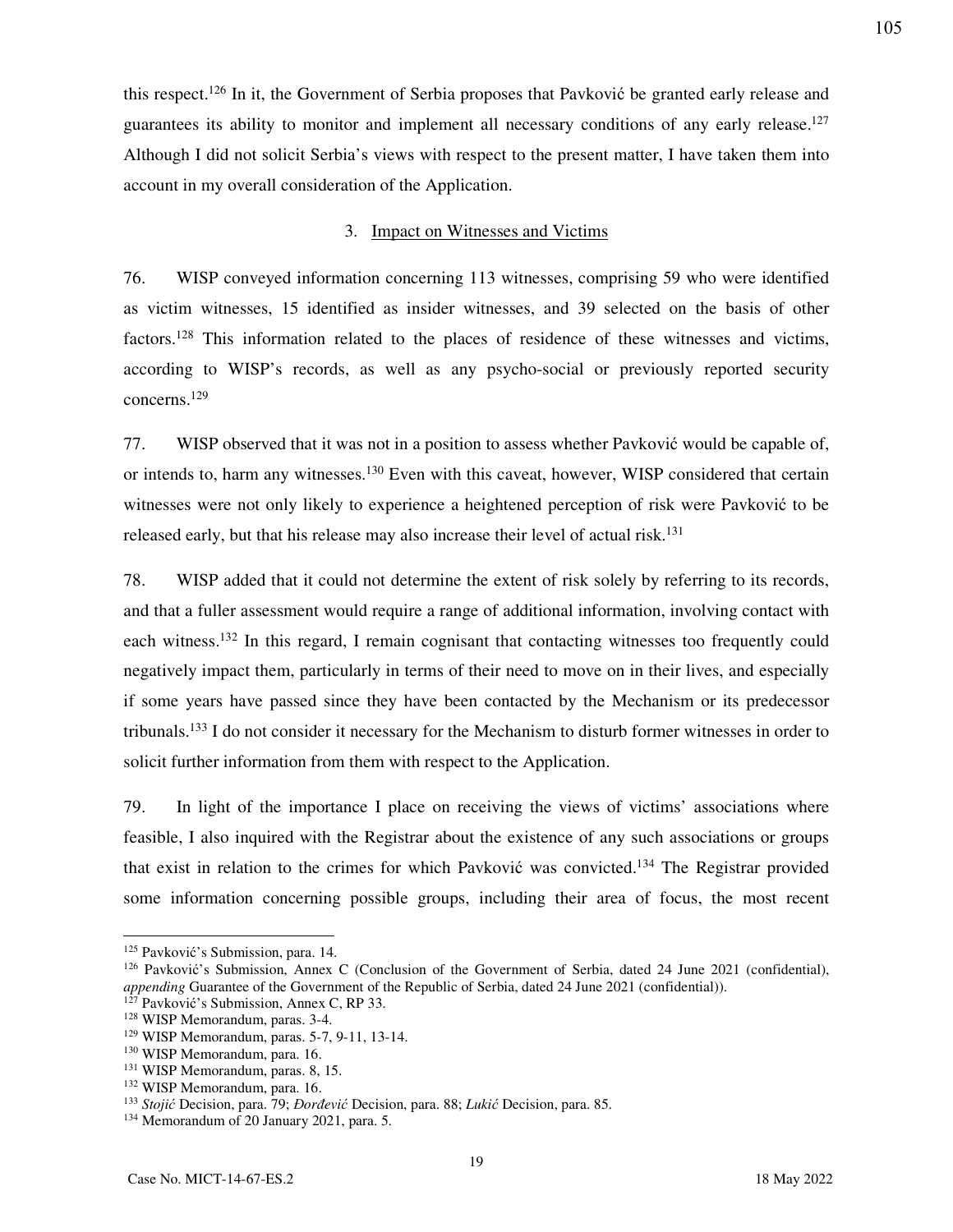this respect.<sup>126</sup> In it, the Government of Serbia proposes that Pavković be granted early release and guarantees its ability to monitor and implement all necessary conditions of any early release.<sup>127</sup> Although I did not solicit Serbia's views with respect to the present matter, I have taken them into account in my overall consideration of the Application.

## 3. Impact on Witnesses and Victims

76. WISP conveyed information concerning 113 witnesses, comprising 59 who were identified as victim witnesses, 15 identified as insider witnesses, and 39 selected on the basis of other factors.<sup>128</sup> This information related to the places of residence of these witnesses and victims, according to WISP's records, as well as any psycho-social or previously reported security concerns.<sup>129</sup>

77. WISP observed that it was not in a position to assess whether Pavković would be capable of, or intends to, harm any witnesses.<sup>130</sup> Even with this caveat, however, WISP considered that certain witnesses were not only likely to experience a heightened perception of risk were Pavković to be released early, but that his release may also increase their level of actual risk.<sup>131</sup>

78. WISP added that it could not determine the extent of risk solely by referring to its records, and that a fuller assessment would require a range of additional information, involving contact with each witness.<sup>132</sup> In this regard, I remain cognisant that contacting witnesses too frequently could negatively impact them, particularly in terms of their need to move on in their lives, and especially if some years have passed since they have been contacted by the Mechanism or its predecessor tribunals.<sup>133</sup> I do not consider it necessary for the Mechanism to disturb former witnesses in order to solicit further information from them with respect to the Application.

79. In light of the importance I place on receiving the views of victims' associations where feasible, I also inquired with the Registrar about the existence of any such associations or groups that exist in relation to the crimes for which Pavković was convicted.<sup>134</sup> The Registrar provided some information concerning possible groups, including their area of focus, the most recent

-

<sup>&</sup>lt;sup>125</sup> Pavković's Submission, para. 14.

<sup>126</sup> Pavković's Submission, Annex C (Conclusion of the Government of Serbia, dated 24 June 2021 (confidential), *appending* Guarantee of the Government of the Republic of Serbia, dated 24 June 2021 (confidential)).

 $1^{27}$  Pavković's Submission, Annex C, RP 33.

<sup>128</sup> WISP Memorandum, paras. 3-4.

<sup>129</sup> WISP Memorandum, paras. 5-7, 9-11, 13-14.

<sup>130</sup> WISP Memorandum, para. 16.

<sup>131</sup> WISP Memorandum, paras. 8, 15.

<sup>132</sup> WISP Memorandum, para. 16.

<sup>133</sup> *Stojić* Decision, para. 79; *Đorđević* Decision, para. 88; *Lukić* Decision, para. 85.

<sup>134</sup> Memorandum of 20 January 2021, para. 5.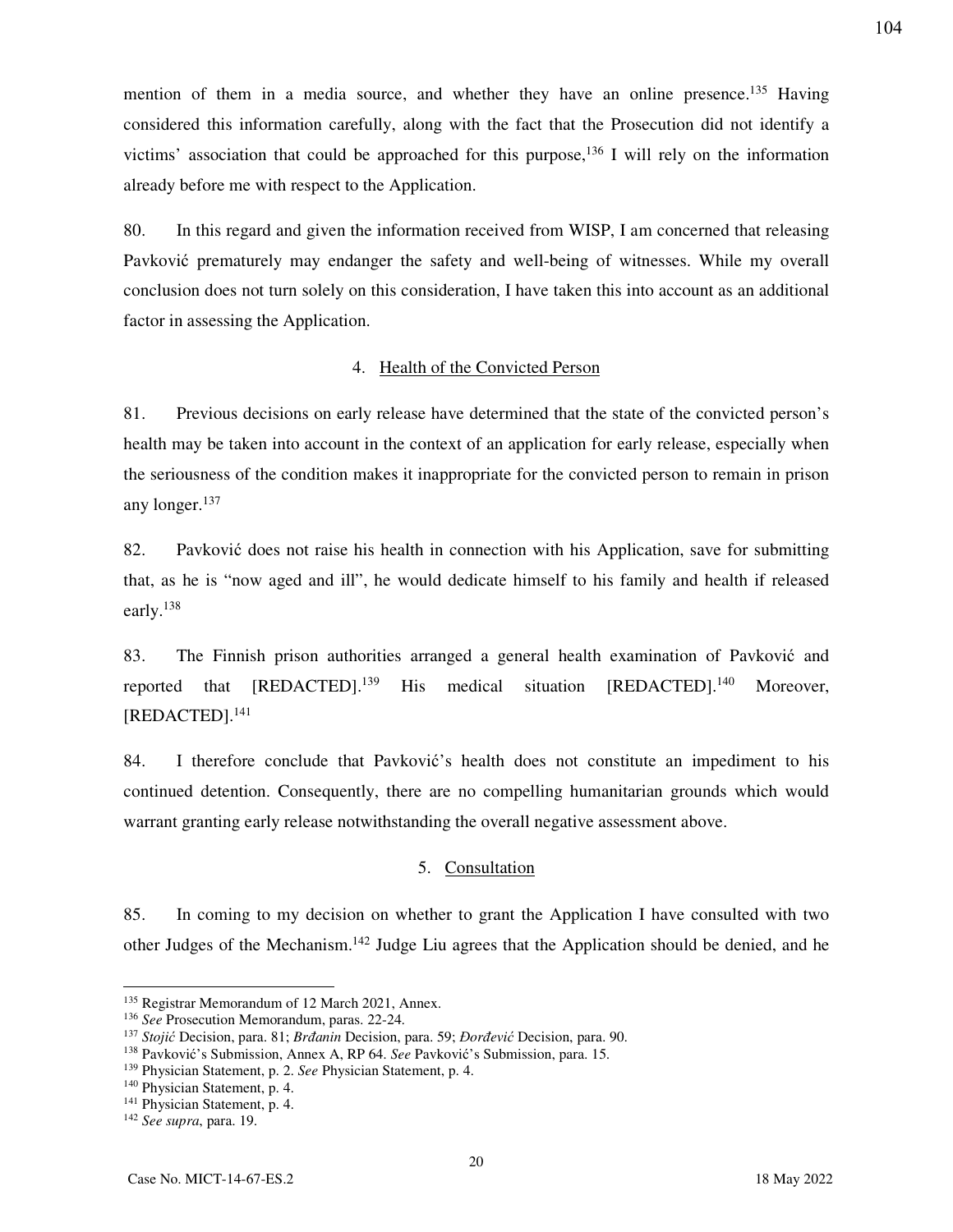mention of them in a media source, and whether they have an online presence.<sup>135</sup> Having considered this information carefully, along with the fact that the Prosecution did not identify a victims' association that could be approached for this purpose,<sup>136</sup> I will rely on the information already before me with respect to the Application.

80. In this regard and given the information received from WISP, I am concerned that releasing Pavković prematurely may endanger the safety and well-being of witnesses. While my overall conclusion does not turn solely on this consideration, I have taken this into account as an additional factor in assessing the Application.

# 4. Health of the Convicted Person

81. Previous decisions on early release have determined that the state of the convicted person's health may be taken into account in the context of an application for early release, especially when the seriousness of the condition makes it inappropriate for the convicted person to remain in prison any longer.<sup>137</sup>

82. Pavković does not raise his health in connection with his Application, save for submitting that, as he is "now aged and ill", he would dedicate himself to his family and health if released early.<sup>138</sup>

83. The Finnish prison authorities arranged a general health examination of Pavković and reported that [REDACTED].<sup>139</sup> His medical situation [REDACTED].<sup>140</sup> Moreover, [REDACTED].<sup>141</sup>

84. I therefore conclude that Pavković's health does not constitute an impediment to his continued detention. Consequently, there are no compelling humanitarian grounds which would warrant granting early release notwithstanding the overall negative assessment above.

### 5. Consultation

85. In coming to my decision on whether to grant the Application I have consulted with two other Judges of the Mechanism.<sup>142</sup> Judge Liu agrees that the Application should be denied, and he

-

<sup>135</sup> Registrar Memorandum of 12 March 2021, Annex.

<sup>136</sup> *See* Prosecution Memorandum, paras. 22-24.

<sup>137</sup> *Stojić* Decision, para. 81; *Brđanin* Decision, para. 59; *Đorđević* Decision, para. 90.

<sup>138</sup> Pavković's Submission, Annex A, RP 64. *See* Pavković's Submission, para. 15.

<sup>139</sup> Physician Statement, p. 2. *See* Physician Statement, p. 4.

<sup>140</sup> Physician Statement, p. 4.

<sup>&</sup>lt;sup>141</sup> Physician Statement, p. 4.

<sup>142</sup> *See supra*, para. 19.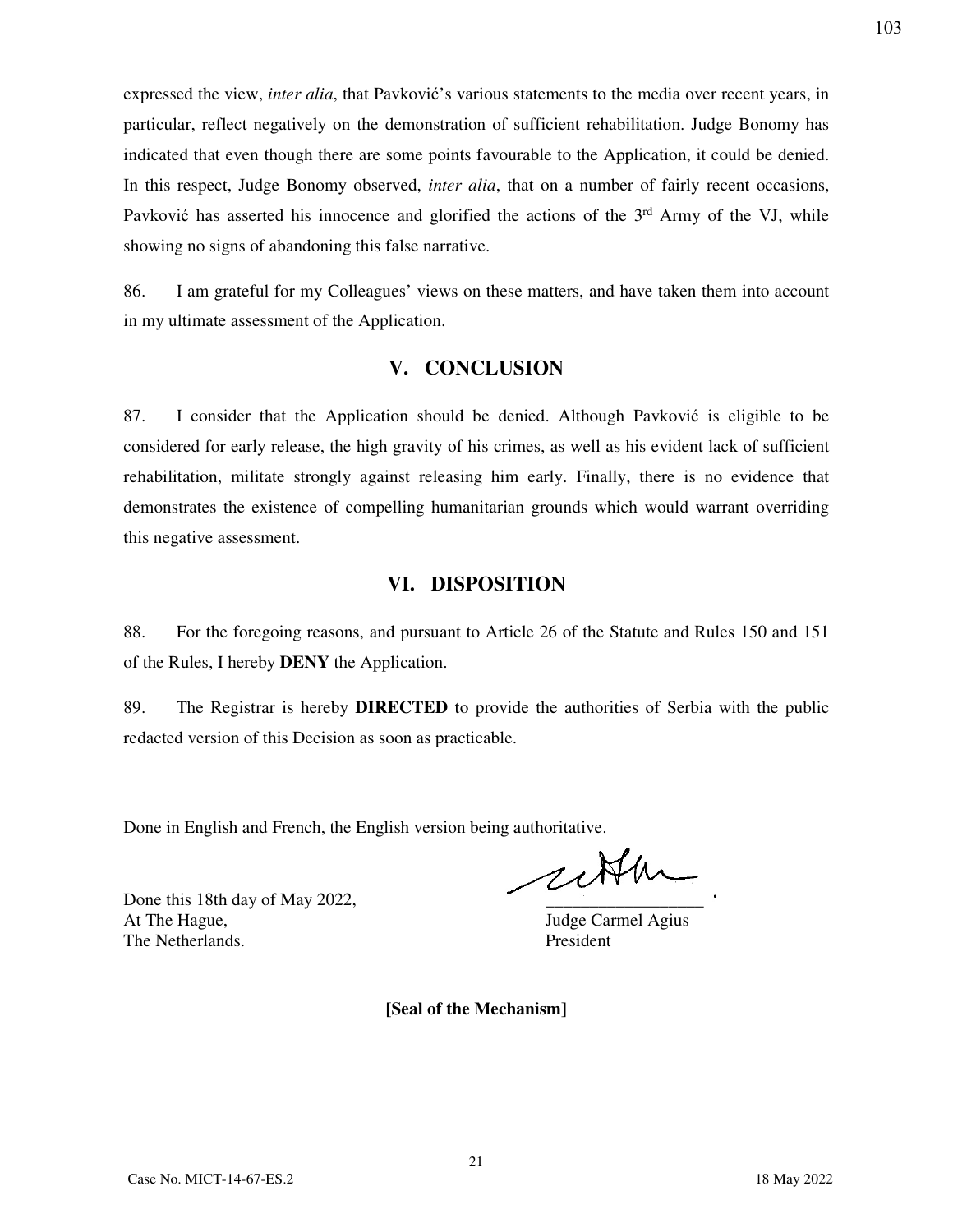expressed the view, *inter alia*, that Pavković's various statements to the media over recent years, in particular, reflect negatively on the demonstration of sufficient rehabilitation. Judge Bonomy has indicated that even though there are some points favourable to the Application, it could be denied. In this respect, Judge Bonomy observed, *inter alia*, that on a number of fairly recent occasions, Pavković has asserted his innocence and glorified the actions of the 3<sup>rd</sup> Army of the VJ, while showing no signs of abandoning this false narrative.

86. I am grateful for my Colleagues' views on these matters, and have taken them into account in my ultimate assessment of the Application.

# **V. CONCLUSION**

87. I consider that the Application should be denied. Although Pavković is eligible to be considered for early release, the high gravity of his crimes, as well as his evident lack of sufficient rehabilitation, militate strongly against releasing him early. Finally, there is no evidence that demonstrates the existence of compelling humanitarian grounds which would warrant overriding this negative assessment.

# **VI. DISPOSITION**

88. For the foregoing reasons, and pursuant to Article 26 of the Statute and Rules 150 and 151 of the Rules, I hereby **DENY** the Application.

89. The Registrar is hereby **DIRECTED** to provide the authorities of Serbia with the public redacted version of this Decision as soon as practicable.

Done in English and French, the English version being authoritative.

Done this 18th day of May 2022, At The Hague, Judge Carmel Agius The Netherlands. President

cette

**[Seal of the Mechanism]**